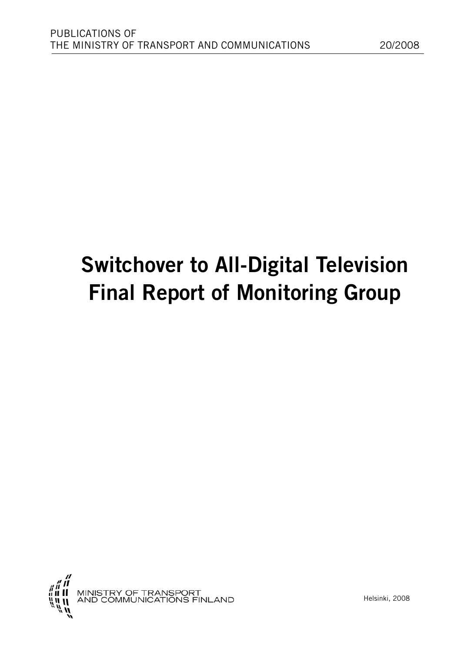# **Switchover to All-Digital Television Final Report of Monitoring Group**

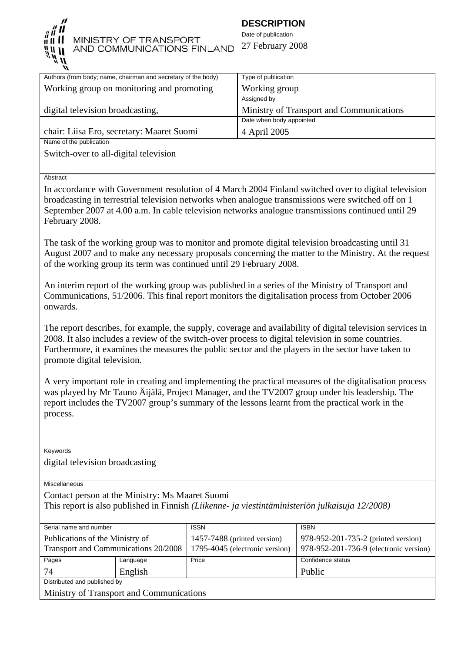

# MINISTRY OF TRANSPORT AND COMMUNICATIONS FINLAND

# **DESCRIPTION**

Date of publication 27 February 2008

| Authors (from body; name, chairman and secretary of the body) | Type of publication                      |
|---------------------------------------------------------------|------------------------------------------|
| Working group on monitoring and promoting                     | Working group                            |
|                                                               | Assigned by                              |
| digital television broadcasting,                              | Ministry of Transport and Communications |
|                                                               | Date when body appointed                 |
| chair: Liisa Ero, secretary: Maaret Suomi                     | 4 April 2005                             |
| Name of the publication                                       |                                          |
|                                                               |                                          |

Switch-over to all-digital television

Abstract

In accordance with Government resolution of 4 March 2004 Finland switched over to digital television broadcasting in terrestrial television networks when analogue transmissions were switched off on 1 September 2007 at 4.00 a.m. In cable television networks analogue transmissions continued until 29 February 2008.

The task of the working group was to monitor and promote digital television broadcasting until 31 August 2007 and to make any necessary proposals concerning the matter to the Ministry. At the request of the working group its term was continued until 29 February 2008.

An interim report of the working group was published in a series of the Ministry of Transport and Communications, 51/2006. This final report monitors the digitalisation process from October 2006 onwards.

The report describes, for example, the supply, coverage and availability of digital television services in 2008. It also includes a review of the switch-over process to digital television in some countries. Furthermore, it examines the measures the public sector and the players in the sector have taken to promote digital television.

A very important role in creating and implementing the practical measures of the digitalisation process was played by Mr Tauno Äijälä, Project Manager, and the TV2007 group under his leadership. The report includes the TV2007 group's summary of the lessons learnt from the practical work in the process.

Keywords

digital television broadcasting

**Miscellaneous** 

Contact person at the Ministry: Ms Maaret Suomi

This report is also published in Finnish *(Liikenne- ja viestintäministeriön julkaisuja 12/2008)*

| Serial name and number                   |          | <b>ISSN</b>                    | <b>ISBN</b>                            |  |
|------------------------------------------|----------|--------------------------------|----------------------------------------|--|
| Publications of the Ministry of          |          | 1457-7488 (printed version)    | 978-952-201-735-2 (printed version)    |  |
| Transport and Communications 20/2008     |          | 1795-4045 (electronic version) | 978-952-201-736-9 (electronic version) |  |
| Pages                                    | Language | Price                          | Confidence status                      |  |
| 74                                       | English  |                                | Public                                 |  |
| Distributed and published by             |          |                                |                                        |  |
| Ministry of Transport and Communications |          |                                |                                        |  |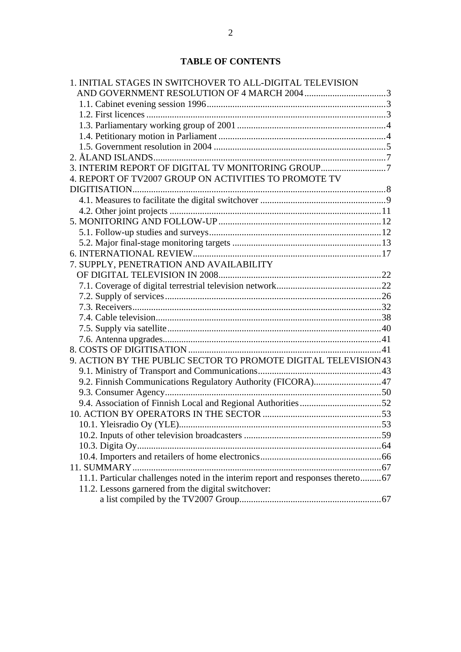# **TABLE OF CONTENTS**

| 1. INITIAL STAGES IN SWITCHOVER TO ALL-DIGITAL TELEVISION                        |  |
|----------------------------------------------------------------------------------|--|
|                                                                                  |  |
|                                                                                  |  |
|                                                                                  |  |
|                                                                                  |  |
|                                                                                  |  |
|                                                                                  |  |
|                                                                                  |  |
| 3. INTERIM REPORT OF DIGITAL TV MONITORING GROUP7                                |  |
| 4. REPORT OF TV2007 GROUP ON ACTIVITIES TO PROMOTE TV                            |  |
|                                                                                  |  |
|                                                                                  |  |
|                                                                                  |  |
|                                                                                  |  |
|                                                                                  |  |
|                                                                                  |  |
|                                                                                  |  |
| 7. SUPPLY, PENETRATION AND AVAILABILITY                                          |  |
|                                                                                  |  |
|                                                                                  |  |
|                                                                                  |  |
|                                                                                  |  |
|                                                                                  |  |
|                                                                                  |  |
|                                                                                  |  |
|                                                                                  |  |
| 9. ACTION BY THE PUBLIC SECTOR TO PROMOTE DIGITAL TELEVISION43                   |  |
|                                                                                  |  |
| 9.2. Finnish Communications Regulatory Authority (FICORA)47                      |  |
|                                                                                  |  |
|                                                                                  |  |
|                                                                                  |  |
|                                                                                  |  |
|                                                                                  |  |
|                                                                                  |  |
|                                                                                  |  |
|                                                                                  |  |
| 11.1. Particular challenges noted in the interim report and responses thereto 67 |  |
| 11.2. Lessons garnered from the digital switchover:                              |  |
|                                                                                  |  |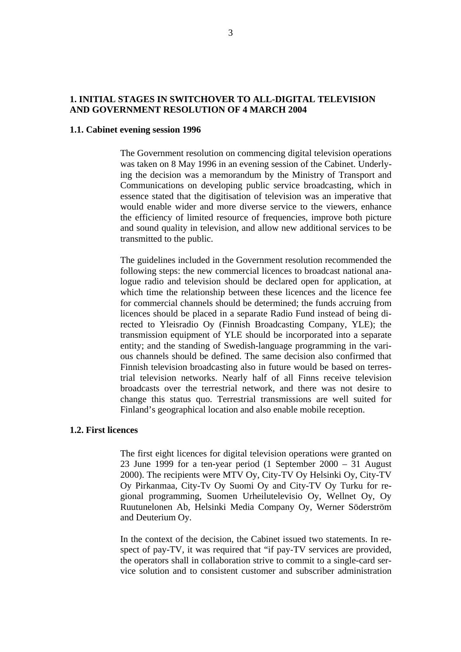# <span id="page-3-0"></span>**1. INITIAL STAGES IN SWITCHOVER TO ALL-DIGITAL TELEVISION AND GOVERNMENT RESOLUTION OF 4 MARCH 2004**

# **1.1. Cabinet evening session 1996**

The Government resolution on commencing digital television operations was taken on 8 May 1996 in an evening session of the Cabinet. Underlying the decision was a memorandum by the Ministry of Transport and Communications on developing public service broadcasting, which in essence stated that the digitisation of television was an imperative that would enable wider and more diverse service to the viewers, enhance the efficiency of limited resource of frequencies, improve both picture and sound quality in television, and allow new additional services to be transmitted to the public.

The guidelines included in the Government resolution recommended the following steps: the new commercial licences to broadcast national analogue radio and television should be declared open for application, at which time the relationship between these licences and the licence fee for commercial channels should be determined; the funds accruing from licences should be placed in a separate Radio Fund instead of being directed to Yleisradio Oy (Finnish Broadcasting Company, YLE); the transmission equipment of YLE should be incorporated into a separate entity; and the standing of Swedish-language programming in the various channels should be defined. The same decision also confirmed that Finnish television broadcasting also in future would be based on terrestrial television networks. Nearly half of all Finns receive television broadcasts over the terrestrial network, and there was not desire to change this status quo. Terrestrial transmissions are well suited for Finland's geographical location and also enable mobile reception.

# **1.2. First licences**

The first eight licences for digital television operations were granted on 23 June 1999 for a ten-year period (1 September 2000 – 31 August 2000). The recipients were MTV Oy, City-TV Oy Helsinki Oy, City-TV Oy Pirkanmaa, City-Tv Oy Suomi Oy and City-TV Oy Turku for regional programming, Suomen Urheilutelevisio Oy, Wellnet Oy, Oy Ruutunelonen Ab, Helsinki Media Company Oy, Werner Söderström and Deuterium Oy.

In the context of the decision, the Cabinet issued two statements. In respect of pay-TV, it was required that "if pay-TV services are provided, the operators shall in collaboration strive to commit to a single-card service solution and to consistent customer and subscriber administration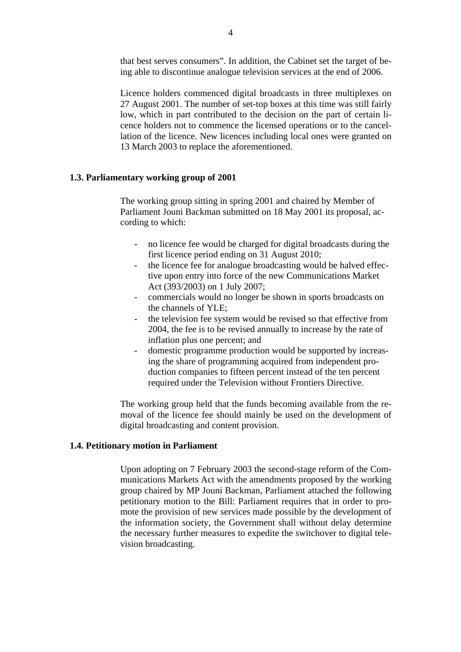<span id="page-4-0"></span>that best serves consumers". In addition, the Cabinet set the target of being able to discontinue analogue television services at the end of 2006.

Licence holders commenced digital broadcasts in three multiplexes on 27 August 2001. The number of set-top boxes at this time was still fairly low, which in part contributed to the decision on the part of certain licence holders not to commence the licensed operations or to the cancellation of the licence. New licences including local ones were granted on 13 March 2003 to replace the aforementioned.

# **1.3. Parliamentary working group of 2001**

The working group sitting in spring 2001 and chaired by Member of Parliament Jouni Backman submitted on 18 May 2001 its proposal, according to which:

- no licence fee would be charged for digital broadcasts during the first licence period ending on 31 August 2010;
- the licence fee for analogue broadcasting would be halved effective upon entry into force of the new Communications Market Act (393/2003) on 1 July 2007;
- commercials would no longer be shown in sports broadcasts on the channels of YLE;
- the television fee system would be revised so that effective from 2004, the fee is to be revised annually to increase by the rate of inflation plus one percent; and
- domestic programme production would be supported by increasing the share of programming acquired from independent production companies to fifteen percent instead of the ten percent required under the Television without Frontiers Directive.

The working group held that the funds becoming available from the removal of the licence fee should mainly be used on the development of digital broadcasting and content provision.

# **1.4. Petitionary motion in Parliament**

Upon adopting on 7 February 2003 the second-stage reform of the Communications Markets Act with the amendments proposed by the working group chaired by MP Jouni Backman, Parliament attached the following petitionary motion to the Bill: Parliament requires that in order to promote the provision of new services made possible by the development of the information society, the Government shall without delay determine the necessary further measures to expedite the switchover to digital television broadcasting.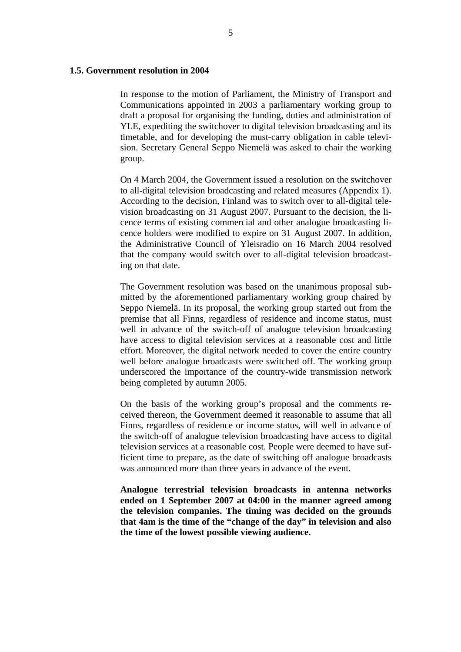# <span id="page-5-0"></span>**1.5. Government resolution in 2004**

In response to the motion of Parliament, the Ministry of Transport and Communications appointed in 2003 a parliamentary working group to draft a proposal for organising the funding, duties and administration of YLE, expediting the switchover to digital television broadcasting and its timetable, and for developing the must-carry obligation in cable television. Secretary General Seppo Niemelä was asked to chair the working group.

On 4 March 2004, the Government issued a resolution on the switchover to all-digital television broadcasting and related measures (Appendix 1). According to the decision, Finland was to switch over to all-digital television broadcasting on 31 August 2007. Pursuant to the decision, the licence terms of existing commercial and other analogue broadcasting licence holders were modified to expire on 31 August 2007. In addition, the Administrative Council of Yleisradio on 16 March 2004 resolved that the company would switch over to all-digital television broadcasting on that date.

The Government resolution was based on the unanimous proposal submitted by the aforementioned parliamentary working group chaired by Seppo Niemelä. In its proposal, the working group started out from the premise that all Finns, regardless of residence and income status, must well in advance of the switch-off of analogue television broadcasting have access to digital television services at a reasonable cost and little effort. Moreover, the digital network needed to cover the entire country well before analogue broadcasts were switched off. The working group underscored the importance of the country-wide transmission network being completed by autumn 2005.

On the basis of the working group's proposal and the comments received thereon, the Government deemed it reasonable to assume that all Finns, regardless of residence or income status, will well in advance of the switch-off of analogue television broadcasting have access to digital television services at a reasonable cost. People were deemed to have sufficient time to prepare, as the date of switching off analogue broadcasts was announced more than three years in advance of the event.

**Analogue terrestrial television broadcasts in antenna networks ended on 1 September 2007 at 04:00 in the manner agreed among the television companies. The timing was decided on the grounds that 4am is the time of the "change of the day" in television and also the time of the lowest possible viewing audience.**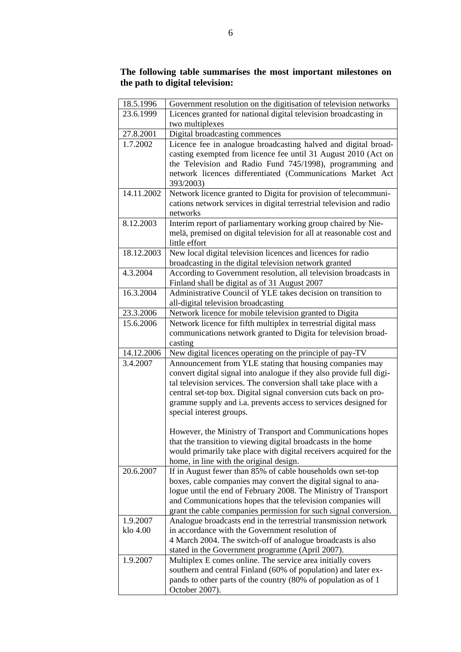# **The following table summarises the most important milestones on the path to digital television:**

| 18.5.1996            | Government resolution on the digitisation of television networks                                                                                                                                                                                                                                                                                                                                                                      |
|----------------------|---------------------------------------------------------------------------------------------------------------------------------------------------------------------------------------------------------------------------------------------------------------------------------------------------------------------------------------------------------------------------------------------------------------------------------------|
| 23.6.1999            | Licences granted for national digital television broadcasting in                                                                                                                                                                                                                                                                                                                                                                      |
|                      | two multiplexes                                                                                                                                                                                                                                                                                                                                                                                                                       |
| 27.8.2001            | Digital broadcasting commences                                                                                                                                                                                                                                                                                                                                                                                                        |
| 1.7.2002             | Licence fee in analogue broadcasting halved and digital broad-<br>casting exempted from licence fee until 31 August 2010 (Act on<br>the Television and Radio Fund 745/1998), programming and<br>network licences differentiated (Communications Market Act<br>393/2003)                                                                                                                                                               |
| 14.11.2002           | Network licence granted to Digita for provision of telecommuni-<br>cations network services in digital terrestrial television and radio<br>networks                                                                                                                                                                                                                                                                                   |
| 8.12.2003            | Interim report of parliamentary working group chaired by Nie-<br>melä, premised on digital television for all at reasonable cost and<br>little effort                                                                                                                                                                                                                                                                                 |
| 18.12.2003           | New local digital television licences and licences for radio<br>broadcasting in the digital television network granted                                                                                                                                                                                                                                                                                                                |
| 4.3.2004             | According to Government resolution, all television broadcasts in<br>Finland shall be digital as of 31 August 2007                                                                                                                                                                                                                                                                                                                     |
| 16.3.2004            | Administrative Council of YLE takes decision on transition to<br>all-digital television broadcasting                                                                                                                                                                                                                                                                                                                                  |
| 23.3.2006            | Network licence for mobile television granted to Digita                                                                                                                                                                                                                                                                                                                                                                               |
| 15.6.2006            | Network licence for fifth multiplex in terrestrial digital mass<br>communications network granted to Digita for television broad-<br>casting                                                                                                                                                                                                                                                                                          |
| 14.12.2006           | New digital licences operating on the principle of pay-TV                                                                                                                                                                                                                                                                                                                                                                             |
| 3.4.2007             | Announcement from YLE stating that housing companies may<br>convert digital signal into analogue if they also provide full digi-<br>tal television services. The conversion shall take place with a<br>central set-top box. Digital signal conversion cuts back on pro-<br>gramme supply and i.a. prevents access to services designed for<br>special interest groups.<br>However, the Ministry of Transport and Communications hopes |
|                      | that the transition to viewing digital broadcasts in the home<br>would primarily take place with digital receivers acquired for the<br>home, in line with the original design.                                                                                                                                                                                                                                                        |
| 20.6.2007            | If in August fewer than 85% of cable households own set-top<br>boxes, cable companies may convert the digital signal to ana-<br>logue until the end of February 2008. The Ministry of Transport<br>and Communications hopes that the television companies will<br>grant the cable companies permission for such signal conversion.                                                                                                    |
| 1.9.2007<br>klo 4.00 | Analogue broadcasts end in the terrestrial transmission network<br>in accordance with the Government resolution of<br>4 March 2004. The switch-off of analogue broadcasts is also                                                                                                                                                                                                                                                     |
|                      | stated in the Government programme (April 2007).                                                                                                                                                                                                                                                                                                                                                                                      |
| 1.9.2007             | Multiplex E comes online. The service area initially covers<br>southern and central Finland (60% of population) and later ex-<br>pands to other parts of the country (80% of population as of 1<br>October 2007).                                                                                                                                                                                                                     |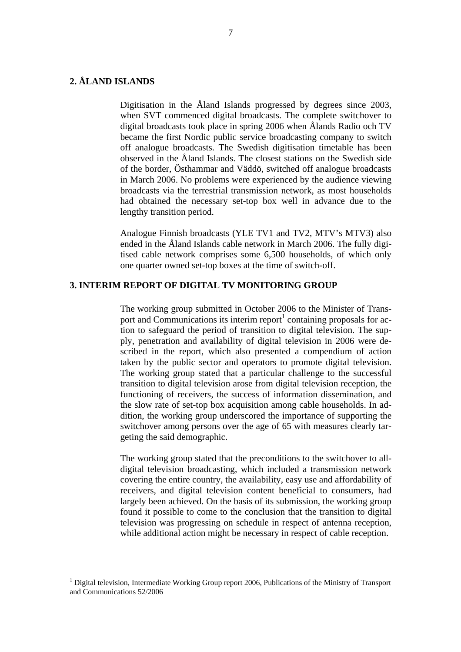# <span id="page-7-0"></span>**2. ÅLAND ISLANDS**

 $\overline{a}$ 

Digitisation in the Åland Islands progressed by degrees since 2003, when SVT commenced digital broadcasts. The complete switchover to digital broadcasts took place in spring 2006 when Ålands Radio och TV became the first Nordic public service broadcasting company to switch off analogue broadcasts. The Swedish digitisation timetable has been observed in the Åland Islands. The closest stations on the Swedish side of the border, Östhammar and Väddö, switched off analogue broadcasts in March 2006. No problems were experienced by the audience viewing broadcasts via the terrestrial transmission network, as most households had obtained the necessary set-top box well in advance due to the lengthy transition period.

Analogue Finnish broadcasts (YLE TV1 and TV2, MTV's MTV3) also ended in the Åland Islands cable network in March 2006. The fully digitised cable network comprises some 6,500 households, of which only one quarter owned set-top boxes at the time of switch-off.

# **3. INTERIM REPORT OF DIGITAL TV MONITORING GROUP**

The working group submitted in October 2006 to the Minister of Trans-port and Communications its interim report<sup>[1](#page-7-1)</sup> containing proposals for action to safeguard the period of transition to digital television. The supply, penetration and availability of digital television in 2006 were described in the report, which also presented a compendium of action taken by the public sector and operators to promote digital television. The working group stated that a particular challenge to the successful transition to digital television arose from digital television reception, the functioning of receivers, the success of information dissemination, and the slow rate of set-top box acquisition among cable households. In addition, the working group underscored the importance of supporting the switchover among persons over the age of 65 with measures clearly targeting the said demographic.

The working group stated that the preconditions to the switchover to alldigital television broadcasting, which included a transmission network covering the entire country, the availability, easy use and affordability of receivers, and digital television content beneficial to consumers, had largely been achieved. On the basis of its submission, the working group found it possible to come to the conclusion that the transition to digital television was progressing on schedule in respect of antenna reception, while additional action might be necessary in respect of cable reception.

<span id="page-7-1"></span><sup>&</sup>lt;sup>1</sup> Digital television, Intermediate Working Group report 2006, Publications of the Ministry of Transport and Communications 52/2006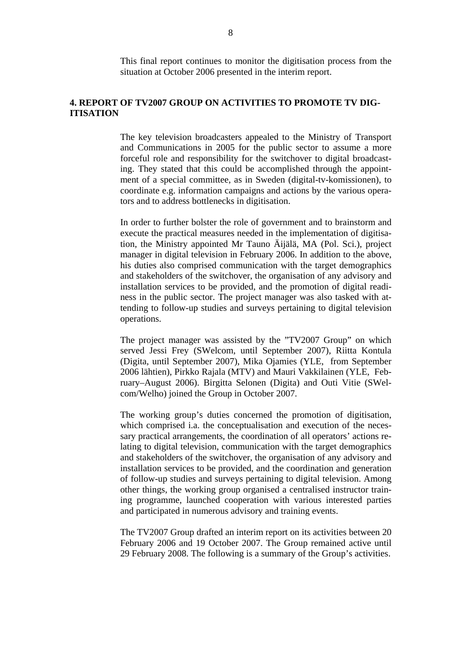This final report continues to monitor the digitisation process from the situation at October 2006 presented in the interim report.

# <span id="page-8-0"></span>**4. REPORT OF TV2007 GROUP ON ACTIVITIES TO PROMOTE TV DIG-ITISATION**

The key television broadcasters appealed to the Ministry of Transport and Communications in 2005 for the public sector to assume a more forceful role and responsibility for the switchover to digital broadcasting. They stated that this could be accomplished through the appointment of a special committee, as in Sweden (digital-tv-komissionen), to coordinate e.g. information campaigns and actions by the various operators and to address bottlenecks in digitisation.

In order to further bolster the role of government and to brainstorm and execute the practical measures needed in the implementation of digitisation, the Ministry appointed Mr Tauno Äijälä, MA (Pol. Sci.), project manager in digital television in February 2006. In addition to the above, his duties also comprised communication with the target demographics and stakeholders of the switchover, the organisation of any advisory and installation services to be provided, and the promotion of digital readiness in the public sector. The project manager was also tasked with attending to follow-up studies and surveys pertaining to digital television operations.

The project manager was assisted by the "TV2007 Group" on which served Jessi Frey (SWelcom, until September 2007), Riitta Kontula (Digita, until September 2007), Mika Ojamies (YLE, from September 2006 lähtien), Pirkko Rajala (MTV) and Mauri Vakkilainen (YLE, February–August 2006). Birgitta Selonen (Digita) and Outi Vitie (SWelcom/Welho) joined the Group in October 2007.

The working group's duties concerned the promotion of digitisation, which comprised i.a. the conceptualisation and execution of the necessary practical arrangements, the coordination of all operators' actions relating to digital television, communication with the target demographics and stakeholders of the switchover, the organisation of any advisory and installation services to be provided, and the coordination and generation of follow-up studies and surveys pertaining to digital television. Among other things, the working group organised a centralised instructor training programme, launched cooperation with various interested parties and participated in numerous advisory and training events.

The TV2007 Group drafted an interim report on its activities between 20 February 2006 and 19 October 2007. The Group remained active until 29 February 2008. The following is a summary of the Group's activities.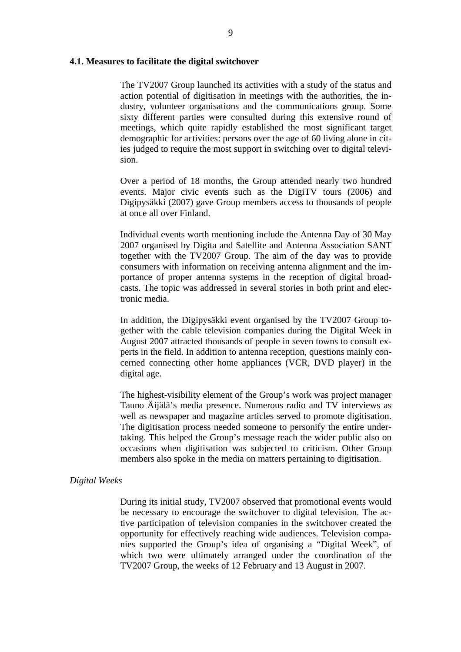#### <span id="page-9-0"></span>**4.1. Measures to facilitate the digital switchover**

The TV2007 Group launched its activities with a study of the status and action potential of digitisation in meetings with the authorities, the industry, volunteer organisations and the communications group. Some sixty different parties were consulted during this extensive round of meetings, which quite rapidly established the most significant target demographic for activities: persons over the age of 60 living alone in cities judged to require the most support in switching over to digital television.

Over a period of 18 months, the Group attended nearly two hundred events. Major civic events such as the DigiTV tours (2006) and Digipysäkki (2007) gave Group members access to thousands of people at once all over Finland.

Individual events worth mentioning include the Antenna Day of 30 May 2007 organised by Digita and Satellite and Antenna Association SANT together with the TV2007 Group. The aim of the day was to provide consumers with information on receiving antenna alignment and the importance of proper antenna systems in the reception of digital broadcasts. The topic was addressed in several stories in both print and electronic media.

In addition, the Digipysäkki event organised by the TV2007 Group together with the cable television companies during the Digital Week in August 2007 attracted thousands of people in seven towns to consult experts in the field. In addition to antenna reception, questions mainly concerned connecting other home appliances (VCR, DVD player) in the digital age.

The highest-visibility element of the Group's work was project manager Tauno Äijälä's media presence. Numerous radio and TV interviews as well as newspaper and magazine articles served to promote digitisation. The digitisation process needed someone to personify the entire undertaking. This helped the Group's message reach the wider public also on occasions when digitisation was subjected to criticism. Other Group members also spoke in the media on matters pertaining to digitisation.

# *Digital Weeks*

During its initial study, TV2007 observed that promotional events would be necessary to encourage the switchover to digital television. The active participation of television companies in the switchover created the opportunity for effectively reaching wide audiences. Television companies supported the Group's idea of organising a "Digital Week", of which two were ultimately arranged under the coordination of the TV2007 Group, the weeks of 12 February and 13 August in 2007.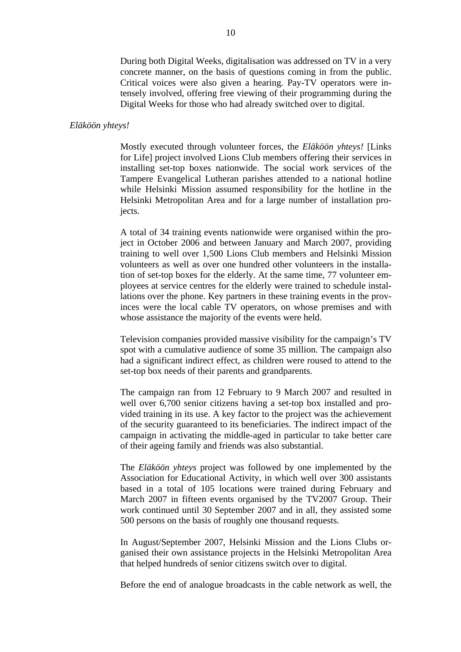During both Digital Weeks, digitalisation was addressed on TV in a very concrete manner, on the basis of questions coming in from the public. Critical voices were also given a hearing. Pay-TV operators were intensely involved, offering free viewing of their programming during the Digital Weeks for those who had already switched over to digital.

#### *Eläköön yhteys!*

Mostly executed through volunteer forces, the *Eläköön yhteys!* [Links for Life] project involved Lions Club members offering their services in installing set-top boxes nationwide. The social work services of the Tampere Evangelical Lutheran parishes attended to a national hotline while Helsinki Mission assumed responsibility for the hotline in the Helsinki Metropolitan Area and for a large number of installation projects.

A total of 34 training events nationwide were organised within the project in October 2006 and between January and March 2007, providing training to well over 1,500 Lions Club members and Helsinki Mission volunteers as well as over one hundred other volunteers in the installation of set-top boxes for the elderly. At the same time, 77 volunteer employees at service centres for the elderly were trained to schedule installations over the phone. Key partners in these training events in the provinces were the local cable TV operators, on whose premises and with whose assistance the majority of the events were held.

Television companies provided massive visibility for the campaign's TV spot with a cumulative audience of some 35 million. The campaign also had a significant indirect effect, as children were roused to attend to the set-top box needs of their parents and grandparents.

The campaign ran from 12 February to 9 March 2007 and resulted in well over 6,700 senior citizens having a set-top box installed and provided training in its use. A key factor to the project was the achievement of the security guaranteed to its beneficiaries. The indirect impact of the campaign in activating the middle-aged in particular to take better care of their ageing family and friends was also substantial.

The *Eläköön yhteys* project was followed by one implemented by the Association for Educational Activity, in which well over 300 assistants based in a total of 105 locations were trained during February and March 2007 in fifteen events organised by the TV2007 Group. Their work continued until 30 September 2007 and in all, they assisted some 500 persons on the basis of roughly one thousand requests.

In August/September 2007, Helsinki Mission and the Lions Clubs organised their own assistance projects in the Helsinki Metropolitan Area that helped hundreds of senior citizens switch over to digital.

Before the end of analogue broadcasts in the cable network as well, the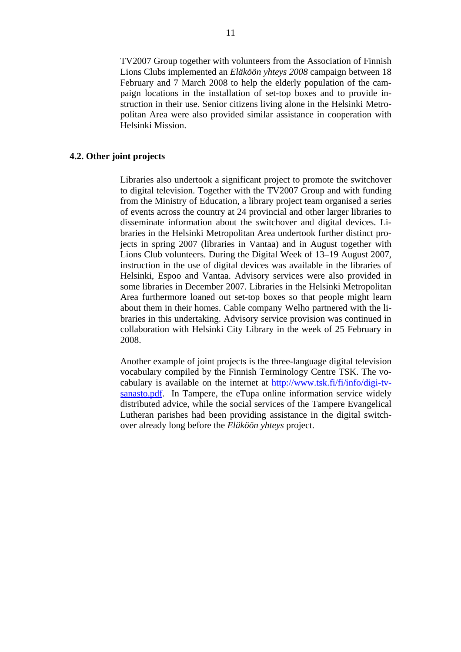<span id="page-11-0"></span>TV2007 Group together with volunteers from the Association of Finnish Lions Clubs implemented an *Eläköön yhteys 2008* campaign between 18 February and 7 March 2008 to help the elderly population of the campaign locations in the installation of set-top boxes and to provide instruction in their use. Senior citizens living alone in the Helsinki Metropolitan Area were also provided similar assistance in cooperation with Helsinki Mission.

# **4.2. Other joint projects**

Libraries also undertook a significant project to promote the switchover to digital television. Together with the TV2007 Group and with funding from the Ministry of Education, a library project team organised a series of events across the country at 24 provincial and other larger libraries to disseminate information about the switchover and digital devices. Libraries in the Helsinki Metropolitan Area undertook further distinct projects in spring 2007 (libraries in Vantaa) and in August together with Lions Club volunteers. During the Digital Week of 13–19 August 2007, instruction in the use of digital devices was available in the libraries of Helsinki, Espoo and Vantaa. Advisory services were also provided in some libraries in December 2007. Libraries in the Helsinki Metropolitan Area furthermore loaned out set-top boxes so that people might learn about them in their homes. Cable company Welho partnered with the libraries in this undertaking. Advisory service provision was continued in collaboration with Helsinki City Library in the week of 25 February in 2008.

Another example of joint projects is the three-language digital television vocabulary compiled by the Finnish Terminology Centre TSK. The vocabulary is available on the internet at [http://www.tsk.fi/fi/info/digi-tv](http://www.tsk.fi/fi/info/digi-tv-sanasto.pdf)[sanasto.pdf.](http://www.tsk.fi/fi/info/digi-tv-sanasto.pdf) In Tampere, the eTupa online information service widely distributed advice, while the social services of the Tampere Evangelical Lutheran parishes had been providing assistance in the digital switchover already long before the *Eläköön yhteys* project.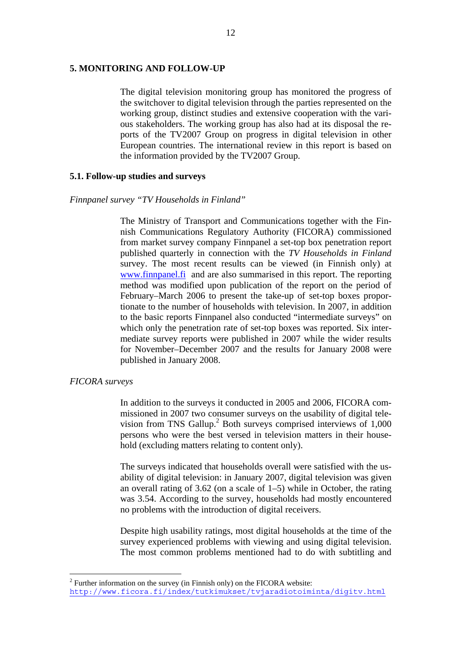# <span id="page-12-0"></span>**5. MONITORING AND FOLLOW-UP**

The digital television monitoring group has monitored the progress of the switchover to digital television through the parties represented on the working group, distinct studies and extensive cooperation with the various stakeholders. The working group has also had at its disposal the reports of the TV2007 Group on progress in digital television in other European countries. The international review in this report is based on the information provided by the TV2007 Group.

# **5.1. Follow-up studies and surveys**

# *Finnpanel survey "TV Households in Finland"*

The Ministry of Transport and Communications together with the Finnish Communications Regulatory Authority (FICORA) commissioned from market survey company Finnpanel a set-top box penetration report published quarterly in connection with the *TV Households in Finland* survey. The most recent results can be viewed (in Finnish only) at [www.finnpanel.fi](http://www.finnpanel.fi/) and are also summarised in this report. The reporting method was modified upon publication of the report on the period of February–March 2006 to present the take-up of set-top boxes proportionate to the number of households with television. In 2007, in addition to the basic reports Finnpanel also conducted "intermediate surveys" on which only the penetration rate of set-top boxes was reported. Six intermediate survey reports were published in 2007 while the wider results for November–December 2007 and the results for January 2008 were published in January 2008.

# *FICORA surveys*

 $\overline{a}$ 

In addition to the surveys it conducted in 2005 and 2006, FICORA commissioned in 2007 two consumer surveys on the usability of digital tele-vision from TNS Gallup.<sup>[2](#page-12-1)</sup> Both surveys comprised interviews of 1,000 persons who were the best versed in television matters in their household (excluding matters relating to content only).

The surveys indicated that households overall were satisfied with the usability of digital television: in January 2007, digital television was given an overall rating of 3.62 (on a scale of 1–5) while in October, the rating was 3.54. According to the survey, households had mostly encountered no problems with the introduction of digital receivers.

Despite high usability ratings, most digital households at the time of the survey experienced problems with viewing and using digital television. The most common problems mentioned had to do with subtitling and

<span id="page-12-1"></span> $2^2$  Further information on the survey (in Finnish only) on the FICORA website: <http://www.ficora.fi/index/tutkimukset/tvjaradiotoiminta/digitv.html>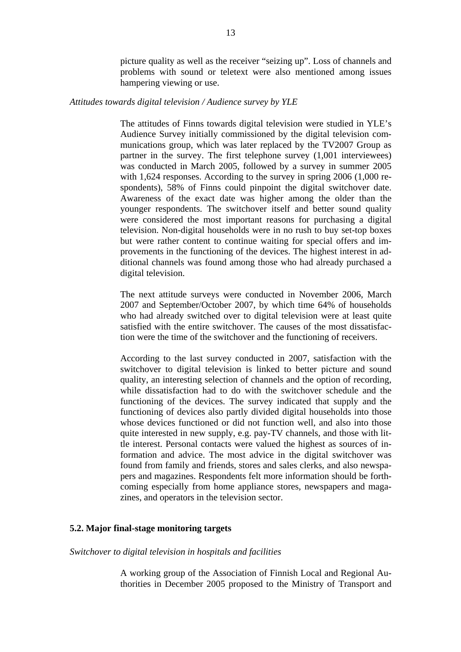picture quality as well as the receiver "seizing up". Loss of channels and problems with sound or teletext were also mentioned among issues hampering viewing or use.

# <span id="page-13-0"></span>*Attitudes towards digital television / Audience survey by YLE*

The attitudes of Finns towards digital television were studied in YLE's Audience Survey initially commissioned by the digital television communications group, which was later replaced by the TV2007 Group as partner in the survey. The first telephone survey (1,001 interviewees) was conducted in March 2005, followed by a survey in summer 2005 with 1,624 responses. According to the survey in spring 2006 (1,000 respondents), 58% of Finns could pinpoint the digital switchover date. Awareness of the exact date was higher among the older than the younger respondents. The switchover itself and better sound quality were considered the most important reasons for purchasing a digital television. Non-digital households were in no rush to buy set-top boxes but were rather content to continue waiting for special offers and improvements in the functioning of the devices. The highest interest in additional channels was found among those who had already purchased a digital television.

The next attitude surveys were conducted in November 2006, March 2007 and September/October 2007, by which time 64% of households who had already switched over to digital television were at least quite satisfied with the entire switchover. The causes of the most dissatisfaction were the time of the switchover and the functioning of receivers.

According to the last survey conducted in 2007, satisfaction with the switchover to digital television is linked to better picture and sound quality, an interesting selection of channels and the option of recording, while dissatisfaction had to do with the switchover schedule and the functioning of the devices. The survey indicated that supply and the functioning of devices also partly divided digital households into those whose devices functioned or did not function well, and also into those quite interested in new supply, e.g. pay-TV channels, and those with little interest. Personal contacts were valued the highest as sources of information and advice. The most advice in the digital switchover was found from family and friends, stores and sales clerks, and also newspapers and magazines. Respondents felt more information should be forthcoming especially from home appliance stores, newspapers and magazines, and operators in the television sector.

# **5.2. Major final-stage monitoring targets**

# *Switchover to digital television in hospitals and facilities*

A working group of the Association of Finnish Local and Regional Authorities in December 2005 proposed to the Ministry of Transport and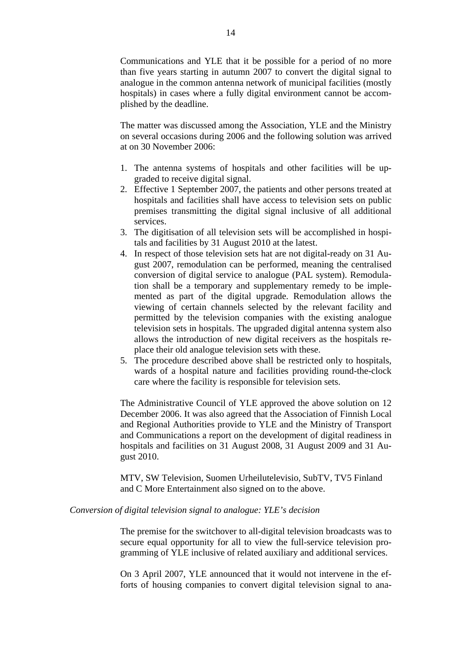Communications and YLE that it be possible for a period of no more than five years starting in autumn 2007 to convert the digital signal to analogue in the common antenna network of municipal facilities (mostly hospitals) in cases where a fully digital environment cannot be accomplished by the deadline.

The matter was discussed among the Association, YLE and the Ministry on several occasions during 2006 and the following solution was arrived at on 30 November 2006:

- 1. The antenna systems of hospitals and other facilities will be upgraded to receive digital signal.
- 2. Effective 1 September 2007, the patients and other persons treated at hospitals and facilities shall have access to television sets on public premises transmitting the digital signal inclusive of all additional services.
- 3. The digitisation of all television sets will be accomplished in hospitals and facilities by 31 August 2010 at the latest.
- 4. In respect of those television sets hat are not digital-ready on 31 August 2007, remodulation can be performed, meaning the centralised conversion of digital service to analogue (PAL system). Remodulation shall be a temporary and supplementary remedy to be implemented as part of the digital upgrade. Remodulation allows the viewing of certain channels selected by the relevant facility and permitted by the television companies with the existing analogue television sets in hospitals. The upgraded digital antenna system also allows the introduction of new digital receivers as the hospitals replace their old analogue television sets with these.
- 5. The procedure described above shall be restricted only to hospitals, wards of a hospital nature and facilities providing round-the-clock care where the facility is responsible for television sets.

The Administrative Council of YLE approved the above solution on 12 December 2006. It was also agreed that the Association of Finnish Local and Regional Authorities provide to YLE and the Ministry of Transport and Communications a report on the development of digital readiness in hospitals and facilities on 31 August 2008, 31 August 2009 and 31 August 2010.

MTV, SW Television, Suomen Urheilutelevisio, SubTV, TV5 Finland and C More Entertainment also signed on to the above.

# *Conversion of digital television signal to analogue: YLE's decision*

The premise for the switchover to all-digital television broadcasts was to secure equal opportunity for all to view the full-service television programming of YLE inclusive of related auxiliary and additional services.

On 3 April 2007, YLE announced that it would not intervene in the efforts of housing companies to convert digital television signal to ana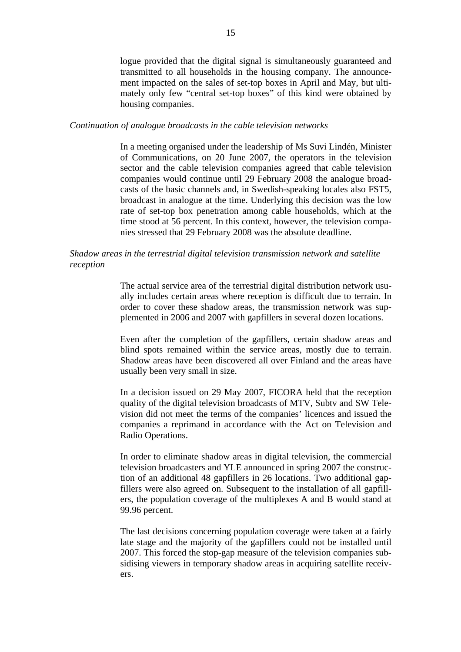logue provided that the digital signal is simultaneously guaranteed and transmitted to all households in the housing company. The announcement impacted on the sales of set-top boxes in April and May, but ultimately only few "central set-top boxes" of this kind were obtained by housing companies.

# *Continuation of analogue broadcasts in the cable television networks*

In a meeting organised under the leadership of Ms Suvi Lindén, Minister of Communications, on 20 June 2007, the operators in the television sector and the cable television companies agreed that cable television companies would continue until 29 February 2008 the analogue broadcasts of the basic channels and, in Swedish-speaking locales also FST5, broadcast in analogue at the time. Underlying this decision was the low rate of set-top box penetration among cable households, which at the time stood at 56 percent. In this context, however, the television companies stressed that 29 February 2008 was the absolute deadline.

# *Shadow areas in the terrestrial digital television transmission network and satellite reception*

The actual service area of the terrestrial digital distribution network usually includes certain areas where reception is difficult due to terrain. In order to cover these shadow areas, the transmission network was supplemented in 2006 and 2007 with gapfillers in several dozen locations.

Even after the completion of the gapfillers, certain shadow areas and blind spots remained within the service areas, mostly due to terrain. Shadow areas have been discovered all over Finland and the areas have usually been very small in size.

In a decision issued on 29 May 2007, FICORA held that the reception quality of the digital television broadcasts of MTV, Subtv and SW Television did not meet the terms of the companies' licences and issued the companies a reprimand in accordance with the Act on Television and Radio Operations.

In order to eliminate shadow areas in digital television, the commercial television broadcasters and YLE announced in spring 2007 the construction of an additional 48 gapfillers in 26 locations. Two additional gapfillers were also agreed on. Subsequent to the installation of all gapfillers, the population coverage of the multiplexes A and B would stand at 99.96 percent.

The last decisions concerning population coverage were taken at a fairly late stage and the majority of the gapfillers could not be installed until 2007. This forced the stop-gap measure of the television companies subsidising viewers in temporary shadow areas in acquiring satellite receivers.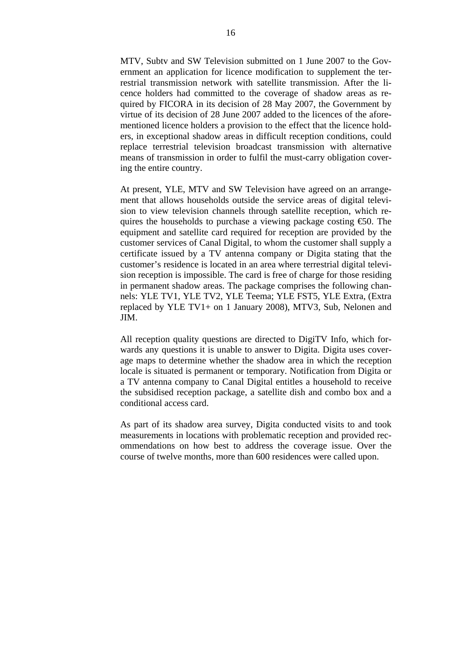MTV, Subtv and SW Television submitted on 1 June 2007 to the Government an application for licence modification to supplement the terrestrial transmission network with satellite transmission. After the licence holders had committed to the coverage of shadow areas as required by FICORA in its decision of 28 May 2007, the Government by virtue of its decision of 28 June 2007 added to the licences of the aforementioned licence holders a provision to the effect that the licence holders, in exceptional shadow areas in difficult reception conditions, could replace terrestrial television broadcast transmission with alternative means of transmission in order to fulfil the must-carry obligation covering the entire country.

At present, YLE, MTV and SW Television have agreed on an arrangement that allows households outside the service areas of digital television to view television channels through satellite reception, which requires the households to purchase a viewing package costing  $\epsilon$ 50. The equipment and satellite card required for reception are provided by the customer services of Canal Digital, to whom the customer shall supply a certificate issued by a TV antenna company or Digita stating that the customer's residence is located in an area where terrestrial digital television reception is impossible. The card is free of charge for those residing in permanent shadow areas. The package comprises the following channels: YLE TV1, YLE TV2, YLE Teema; YLE FST5, YLE Extra, (Extra replaced by YLE TV1+ on 1 January 2008), MTV3, Sub, Nelonen and JIM.

All reception quality questions are directed to DigiTV Info, which forwards any questions it is unable to answer to Digita. Digita uses coverage maps to determine whether the shadow area in which the reception locale is situated is permanent or temporary. Notification from Digita or a TV antenna company to Canal Digital entitles a household to receive the subsidised reception package, a satellite dish and combo box and a conditional access card.

As part of its shadow area survey, Digita conducted visits to and took measurements in locations with problematic reception and provided recommendations on how best to address the coverage issue. Over the course of twelve months, more than 600 residences were called upon.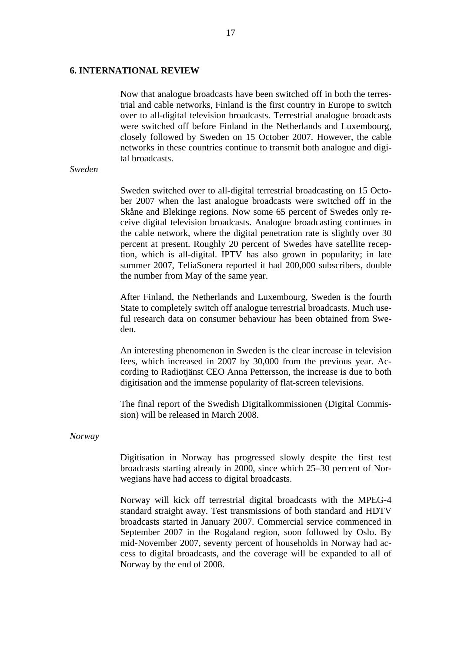# <span id="page-17-0"></span>**6. INTERNATIONAL REVIEW**

Now that analogue broadcasts have been switched off in both the terrestrial and cable networks, Finland is the first country in Europe to switch over to all-digital television broadcasts. Terrestrial analogue broadcasts were switched off before Finland in the Netherlands and Luxembourg, closely followed by Sweden on 15 October 2007. However, the cable networks in these countries continue to transmit both analogue and digital broadcasts.

# *Sweden*

Sweden switched over to all-digital terrestrial broadcasting on 15 October 2007 when the last analogue broadcasts were switched off in the Skåne and Blekinge regions. Now some 65 percent of Swedes only receive digital television broadcasts. Analogue broadcasting continues in the cable network, where the digital penetration rate is slightly over 30 percent at present. Roughly 20 percent of Swedes have satellite reception, which is all-digital. IPTV has also grown in popularity; in late summer 2007, TeliaSonera reported it had 200,000 subscribers, double the number from May of the same year.

After Finland, the Netherlands and Luxembourg, Sweden is the fourth State to completely switch off analogue terrestrial broadcasts. Much useful research data on consumer behaviour has been obtained from Sweden.

An interesting phenomenon in Sweden is the clear increase in television fees, which increased in 2007 by 30,000 from the previous year. According to Radiotjänst CEO Anna Pettersson, the increase is due to both digitisation and the immense popularity of flat-screen televisions.

The final report of the Swedish Digitalkommissionen (Digital Commission) will be released in March 2008.

#### *Norway*

Digitisation in Norway has progressed slowly despite the first test broadcasts starting already in 2000, since which 25–30 percent of Norwegians have had access to digital broadcasts.

Norway will kick off terrestrial digital broadcasts with the MPEG-4 standard straight away. Test transmissions of both standard and HDTV broadcasts started in January 2007. Commercial service commenced in September 2007 in the Rogaland region, soon followed by Oslo. By mid-November 2007, seventy percent of households in Norway had access to digital broadcasts, and the coverage will be expanded to all of Norway by the end of 2008.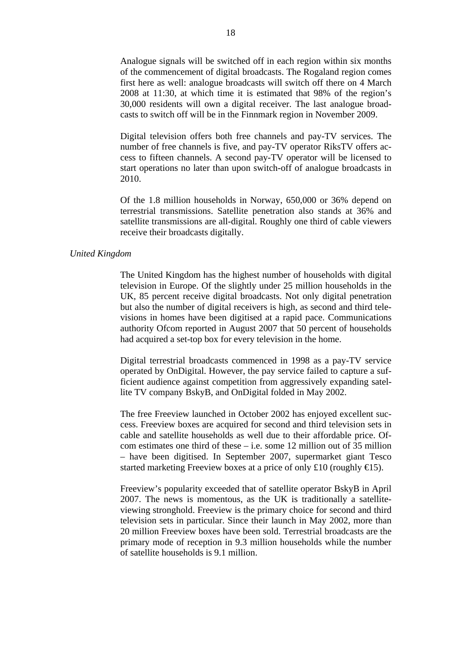Analogue signals will be switched off in each region within six months of the commencement of digital broadcasts. The Rogaland region comes first here as well: analogue broadcasts will switch off there on 4 March 2008 at 11:30, at which time it is estimated that 98% of the region's 30,000 residents will own a digital receiver. The last analogue broadcasts to switch off will be in the Finnmark region in November 2009.

Digital television offers both free channels and pay-TV services. The number of free channels is five, and pay-TV operator RiksTV offers access to fifteen channels. A second pay-TV operator will be licensed to start operations no later than upon switch-off of analogue broadcasts in 2010.

Of the 1.8 million households in Norway, 650,000 or 36% depend on terrestrial transmissions. Satellite penetration also stands at 36% and satellite transmissions are all-digital. Roughly one third of cable viewers receive their broadcasts digitally.

# *United Kingdom*

The United Kingdom has the highest number of households with digital television in Europe. Of the slightly under 25 million households in the UK, 85 percent receive digital broadcasts. Not only digital penetration but also the number of digital receivers is high, as second and third televisions in homes have been digitised at a rapid pace. Communications authority Ofcom reported in August 2007 that 50 percent of households had acquired a set-top box for every television in the home.

Digital terrestrial broadcasts commenced in 1998 as a pay-TV service operated by OnDigital. However, the pay service failed to capture a sufficient audience against competition from aggressively expanding satellite TV company BskyB, and OnDigital folded in May 2002.

The free Freeview launched in October 2002 has enjoyed excellent success. Freeview boxes are acquired for second and third television sets in cable and satellite households as well due to their affordable price. Ofcom estimates one third of these  $-$  i.e. some 12 million out of 35 million – have been digitised. In September 2007, supermarket giant Tesco started marketing Freeview boxes at a price of only £10 (roughly  $\in$ 15).

Freeview's popularity exceeded that of satellite operator BskyB in April 2007. The news is momentous, as the UK is traditionally a satelliteviewing stronghold. Freeview is the primary choice for second and third television sets in particular. Since their launch in May 2002, more than 20 million Freeview boxes have been sold. Terrestrial broadcasts are the primary mode of reception in 9.3 million households while the number of satellite households is 9.1 million.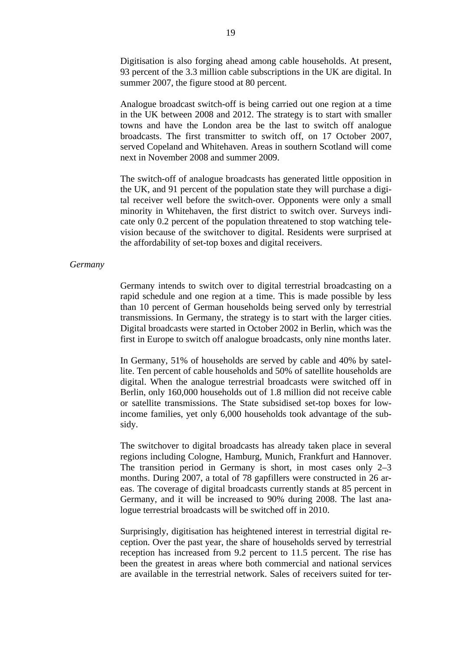Digitisation is also forging ahead among cable households. At present, 93 percent of the 3.3 million cable subscriptions in the UK are digital. In summer 2007, the figure stood at 80 percent.

Analogue broadcast switch-off is being carried out one region at a time in the UK between 2008 and 2012. The strategy is to start with smaller towns and have the London area be the last to switch off analogue broadcasts. The first transmitter to switch off, on 17 October 2007, served Copeland and Whitehaven. Areas in southern Scotland will come next in November 2008 and summer 2009.

The switch-off of analogue broadcasts has generated little opposition in the UK, and 91 percent of the population state they will purchase a digital receiver well before the switch-over. Opponents were only a small minority in Whitehaven, the first district to switch over. Surveys indicate only 0.2 percent of the population threatened to stop watching television because of the switchover to digital. Residents were surprised at the affordability of set-top boxes and digital receivers.

# *Germany*

Germany intends to switch over to digital terrestrial broadcasting on a rapid schedule and one region at a time. This is made possible by less than 10 percent of German households being served only by terrestrial transmissions. In Germany, the strategy is to start with the larger cities. Digital broadcasts were started in October 2002 in Berlin, which was the first in Europe to switch off analogue broadcasts, only nine months later.

In Germany, 51% of households are served by cable and 40% by satellite. Ten percent of cable households and 50% of satellite households are digital. When the analogue terrestrial broadcasts were switched off in Berlin, only 160,000 households out of 1.8 million did not receive cable or satellite transmissions. The State subsidised set-top boxes for lowincome families, yet only 6,000 households took advantage of the subsidy.

The switchover to digital broadcasts has already taken place in several regions including Cologne, Hamburg, Munich, Frankfurt and Hannover. The transition period in Germany is short, in most cases only 2–3 months. During 2007, a total of 78 gapfillers were constructed in 26 areas. The coverage of digital broadcasts currently stands at 85 percent in Germany, and it will be increased to 90% during 2008. The last analogue terrestrial broadcasts will be switched off in 2010.

Surprisingly, digitisation has heightened interest in terrestrial digital reception. Over the past year, the share of households served by terrestrial reception has increased from 9.2 percent to 11.5 percent. The rise has been the greatest in areas where both commercial and national services are available in the terrestrial network. Sales of receivers suited for ter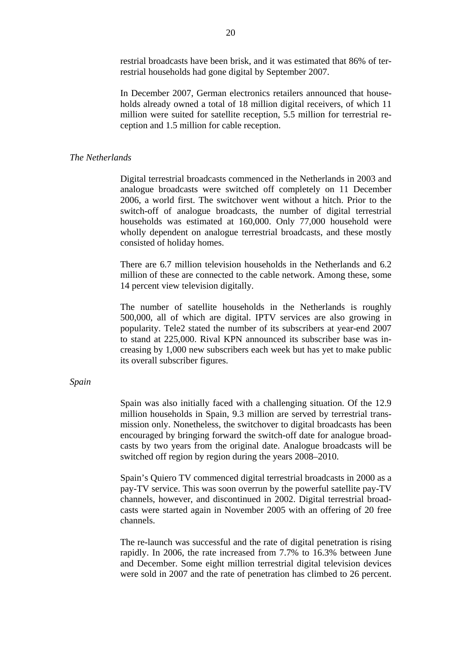restrial broadcasts have been brisk, and it was estimated that 86% of terrestrial households had gone digital by September 2007.

In December 2007, German electronics retailers announced that households already owned a total of 18 million digital receivers, of which 11 million were suited for satellite reception, 5.5 million for terrestrial reception and 1.5 million for cable reception.

# *The Netherlands*

Digital terrestrial broadcasts commenced in the Netherlands in 2003 and analogue broadcasts were switched off completely on 11 December 2006, a world first. The switchover went without a hitch. Prior to the switch-off of analogue broadcasts, the number of digital terrestrial households was estimated at 160,000. Only 77,000 household were wholly dependent on analogue terrestrial broadcasts, and these mostly consisted of holiday homes.

There are 6.7 million television households in the Netherlands and 6.2 million of these are connected to the cable network. Among these, some 14 percent view television digitally.

The number of satellite households in the Netherlands is roughly 500,000, all of which are digital. IPTV services are also growing in popularity. Tele2 stated the number of its subscribers at year-end 2007 to stand at 225,000. Rival KPN announced its subscriber base was increasing by 1,000 new subscribers each week but has yet to make public its overall subscriber figures.

# *Spain*

Spain was also initially faced with a challenging situation. Of the 12.9 million households in Spain, 9.3 million are served by terrestrial transmission only. Nonetheless, the switchover to digital broadcasts has been encouraged by bringing forward the switch-off date for analogue broadcasts by two years from the original date. Analogue broadcasts will be switched off region by region during the years 2008–2010.

Spain's Quiero TV commenced digital terrestrial broadcasts in 2000 as a pay-TV service. This was soon overrun by the powerful satellite pay-TV channels, however, and discontinued in 2002. Digital terrestrial broadcasts were started again in November 2005 with an offering of 20 free channels.

The re-launch was successful and the rate of digital penetration is rising rapidly. In 2006, the rate increased from 7.7% to 16.3% between June and December. Some eight million terrestrial digital television devices were sold in 2007 and the rate of penetration has climbed to 26 percent.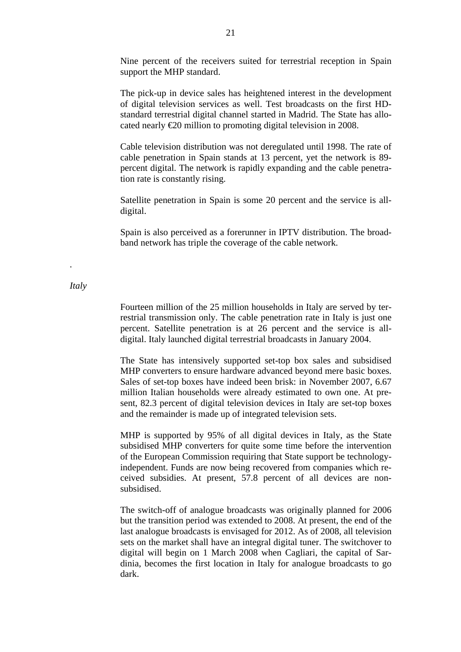Nine percent of the receivers suited for terrestrial reception in Spain support the MHP standard.

The pick-up in device sales has heightened interest in the development of digital television services as well. Test broadcasts on the first HDstandard terrestrial digital channel started in Madrid. The State has allocated nearly €20 million to promoting digital television in 2008.

Cable television distribution was not deregulated until 1998. The rate of cable penetration in Spain stands at 13 percent, yet the network is 89 percent digital. The network is rapidly expanding and the cable penetration rate is constantly rising.

Satellite penetration in Spain is some 20 percent and the service is alldigital.

Spain is also perceived as a forerunner in IPTV distribution. The broadband network has triple the coverage of the cable network.

# *Italy*

.

Fourteen million of the 25 million households in Italy are served by terrestrial transmission only. The cable penetration rate in Italy is just one percent. Satellite penetration is at 26 percent and the service is alldigital. Italy launched digital terrestrial broadcasts in January 2004.

The State has intensively supported set-top box sales and subsidised MHP converters to ensure hardware advanced beyond mere basic boxes. Sales of set-top boxes have indeed been brisk: in November 2007, 6.67 million Italian households were already estimated to own one. At present, 82.3 percent of digital television devices in Italy are set-top boxes and the remainder is made up of integrated television sets.

MHP is supported by 95% of all digital devices in Italy, as the State subsidised MHP converters for quite some time before the intervention of the European Commission requiring that State support be technologyindependent. Funds are now being recovered from companies which received subsidies. At present, 57.8 percent of all devices are nonsubsidised.

The switch-off of analogue broadcasts was originally planned for 2006 but the transition period was extended to 2008. At present, the end of the last analogue broadcasts is envisaged for 2012. As of 2008, all television sets on the market shall have an integral digital tuner. The switchover to digital will begin on 1 March 2008 when Cagliari, the capital of Sardinia, becomes the first location in Italy for analogue broadcasts to go dark.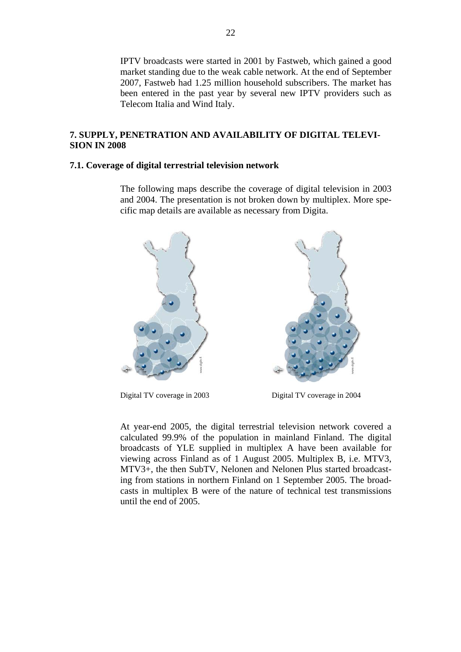<span id="page-22-0"></span>IPTV broadcasts were started in 2001 by Fastweb, which gained a good market standing due to the weak cable network. At the end of September 2007, Fastweb had 1.25 million household subscribers. The market has been entered in the past year by several new IPTV providers such as Telecom Italia and Wind Italy.

# **7. SUPPLY, PENETRATION AND AVAILABILITY OF DIGITAL TELEVI-SION IN 2008**

# **7.1. Coverage of digital terrestrial television network**

The following maps describe the coverage of digital television in 2003 and 2004. The presentation is not broken down by multiplex. More specific map details are available as necessary from Digita.



Digital TV coverage in 2003 Digital TV coverage in 2004

At year-end 2005, the digital terrestrial television network covered a calculated 99.9% of the population in mainland Finland. The digital broadcasts of YLE supplied in multiplex A have been available for viewing across Finland as of 1 August 2005. Multiplex B, i.e. MTV3, MTV3+, the then SubTV, Nelonen and Nelonen Plus started broadcasting from stations in northern Finland on 1 September 2005. The broadcasts in multiplex B were of the nature of technical test transmissions until the end of 2005.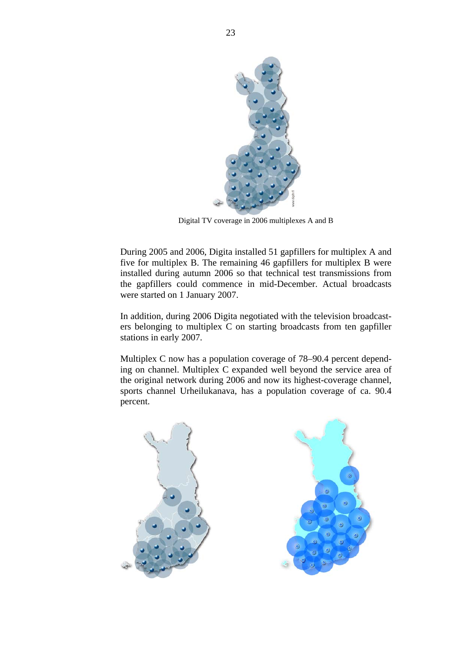

Digital TV coverage in 2006 multiplexes A and B

During 2005 and 2006, Digita installed 51 gapfillers for multiplex A and five for multiplex B. The remaining 46 gapfillers for multiplex B were installed during autumn 2006 so that technical test transmissions from the gapfillers could commence in mid-December. Actual broadcasts were started on 1 January 2007.

In addition, during 2006 Digita negotiated with the television broadcasters belonging to multiplex C on starting broadcasts from ten gapfiller stations in early 2007.

Multiplex C now has a population coverage of 78–90.4 percent depending on channel. Multiplex C expanded well beyond the service area of the original network during 2006 and now its highest-coverage channel, sports channel Urheilukanava, has a population coverage of ca. 90.4 percent.

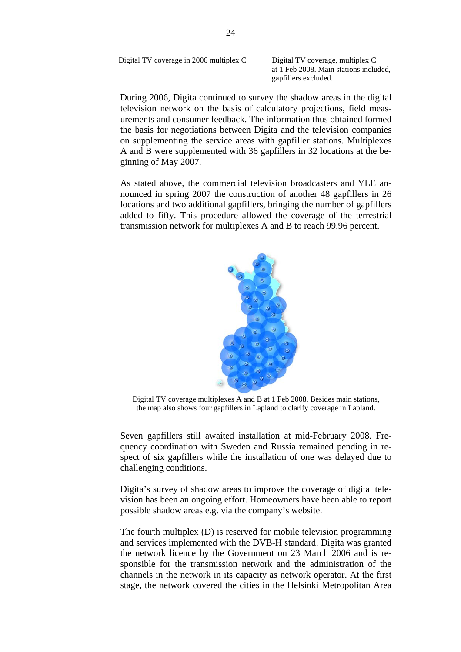Digital TV coverage in 2006 multiplex C Digital TV coverage, multiplex C

at 1 Feb 2008. Main stations included, gapfillers excluded.

During 2006, Digita continued to survey the shadow areas in the digital television network on the basis of calculatory projections, field measurements and consumer feedback. The information thus obtained formed the basis for negotiations between Digita and the television companies on supplementing the service areas with gapfiller stations. Multiplexes A and B were supplemented with 36 gapfillers in 32 locations at the beginning of May 2007.

As stated above, the commercial television broadcasters and YLE announced in spring 2007 the construction of another 48 gapfillers in 26 locations and two additional gapfillers, bringing the number of gapfillers added to fifty. This procedure allowed the coverage of the terrestrial transmission network for multiplexes A and B to reach 99.96 percent.



Digital TV coverage multiplexes A and B at 1 Feb 2008. Besides main stations, the map also shows four gapfillers in Lapland to clarify coverage in Lapland.

Seven gapfillers still awaited installation at mid-February 2008. Frequency coordination with Sweden and Russia remained pending in respect of six gapfillers while the installation of one was delayed due to challenging conditions.

Digita's survey of shadow areas to improve the coverage of digital television has been an ongoing effort. Homeowners have been able to report possible shadow areas e.g. via the company's website.

The fourth multiplex (D) is reserved for mobile television programming and services implemented with the DVB-H standard. Digita was granted the network licence by the Government on 23 March 2006 and is responsible for the transmission network and the administration of the channels in the network in its capacity as network operator. At the first stage, the network covered the cities in the Helsinki Metropolitan Area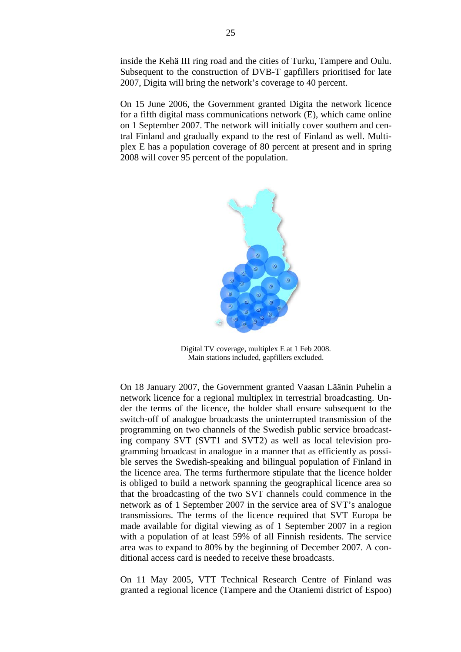inside the Kehä III ring road and the cities of Turku, Tampere and Oulu. Subsequent to the construction of DVB-T gapfillers prioritised for late 2007, Digita will bring the network's coverage to 40 percent.

On 15 June 2006, the Government granted Digita the network licence for a fifth digital mass communications network (E), which came online on 1 September 2007. The network will initially cover southern and central Finland and gradually expand to the rest of Finland as well. Multiplex E has a population coverage of 80 percent at present and in spring 2008 will cover 95 percent of the population.



Digital TV coverage, multiplex E at 1 Feb 2008. Main stations included, gapfillers excluded.

On 18 January 2007, the Government granted Vaasan Läänin Puhelin a network licence for a regional multiplex in terrestrial broadcasting. Under the terms of the licence, the holder shall ensure subsequent to the switch-off of analogue broadcasts the uninterrupted transmission of the programming on two channels of the Swedish public service broadcasting company SVT (SVT1 and SVT2) as well as local television programming broadcast in analogue in a manner that as efficiently as possible serves the Swedish-speaking and bilingual population of Finland in the licence area. The terms furthermore stipulate that the licence holder is obliged to build a network spanning the geographical licence area so that the broadcasting of the two SVT channels could commence in the network as of 1 September 2007 in the service area of SVT's analogue transmissions. The terms of the licence required that SVT Europa be made available for digital viewing as of 1 September 2007 in a region with a population of at least 59% of all Finnish residents. The service area was to expand to 80% by the beginning of December 2007. A conditional access card is needed to receive these broadcasts.

On 11 May 2005, VTT Technical Research Centre of Finland was granted a regional licence (Tampere and the Otaniemi district of Espoo)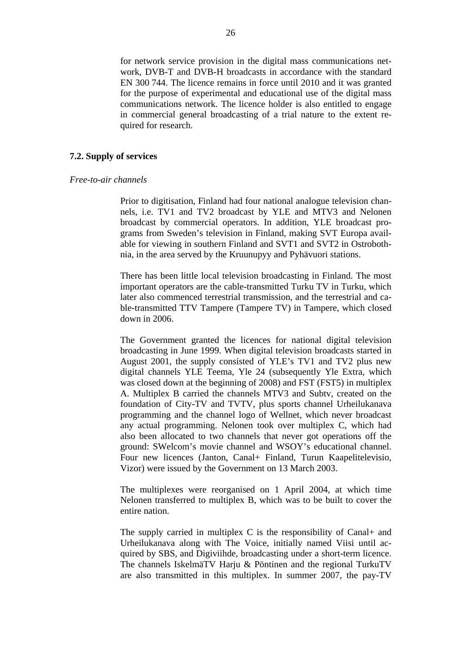<span id="page-26-0"></span>for network service provision in the digital mass communications network, DVB-T and DVB-H broadcasts in accordance with the standard EN 300 744. The licence remains in force until 2010 and it was granted for the purpose of experimental and educational use of the digital mass communications network. The licence holder is also entitled to engage in commercial general broadcasting of a trial nature to the extent required for research.

# **7.2. Supply of services**

#### *Free-to-air channels*

Prior to digitisation, Finland had four national analogue television channels, i.e. TV1 and TV2 broadcast by YLE and MTV3 and Nelonen broadcast by commercial operators. In addition, YLE broadcast programs from Sweden's television in Finland, making SVT Europa available for viewing in southern Finland and SVT1 and SVT2 in Ostrobothnia, in the area served by the Kruunupyy and Pyhävuori stations.

There has been little local television broadcasting in Finland. The most important operators are the cable-transmitted Turku TV in Turku, which later also commenced terrestrial transmission, and the terrestrial and cable-transmitted TTV Tampere (Tampere TV) in Tampere, which closed down in 2006.

The Government granted the licences for national digital television broadcasting in June 1999. When digital television broadcasts started in August 2001, the supply consisted of YLE's TV1 and TV2 plus new digital channels YLE Teema, Yle 24 (subsequently Yle Extra, which was closed down at the beginning of 2008) and FST (FST5) in multiplex A. Multiplex B carried the channels MTV3 and Subtv, created on the foundation of City-TV and TVTV, plus sports channel Urheilukanava programming and the channel logo of Wellnet, which never broadcast any actual programming. Nelonen took over multiplex C, which had also been allocated to two channels that never got operations off the ground: SWelcom's movie channel and WSOY's educational channel. Four new licences (Janton, Canal+ Finland, Turun Kaapelitelevisio, Vizor) were issued by the Government on 13 March 2003.

The multiplexes were reorganised on 1 April 2004, at which time Nelonen transferred to multiplex B, which was to be built to cover the entire nation.

The supply carried in multiplex C is the responsibility of Canal+ and Urheilukanava along with The Voice, initially named Viisi until acquired by SBS, and Digiviihde, broadcasting under a short-term licence. The channels IskelmäTV Harju & Pöntinen and the regional TurkuTV are also transmitted in this multiplex. In summer 2007, the pay-TV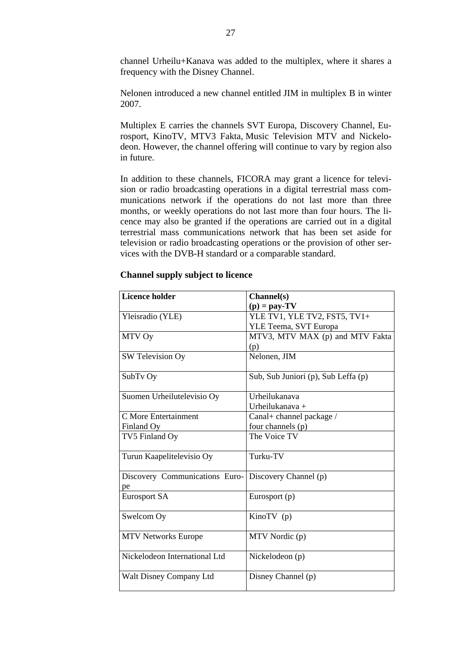channel Urheilu+Kanava was added to the multiplex, where it shares a frequency with the Disney Channel.

Nelonen introduced a new channel entitled JIM in multiplex B in winter 2007.

Multiplex E carries the channels SVT Europa, Discovery Channel, Eurosport, KinoTV, MTV3 Fakta, Music Television MTV and Nickelodeon. However, the channel offering will continue to vary by region also in future.

In addition to these channels, FICORA may grant a licence for television or radio broadcasting operations in a digital terrestrial mass communications network if the operations do not last more than three months, or weekly operations do not last more than four hours. The licence may also be granted if the operations are carried out in a digital terrestrial mass communications network that has been set aside for television or radio broadcasting operations or the provision of other services with the DVB-H standard or a comparable standard.

| <b>Licence holder</b>          | Channel(s)                          |
|--------------------------------|-------------------------------------|
|                                | $(p) = pay-TV$                      |
|                                |                                     |
| Yleisradio (YLE)               | YLE TV1, YLE TV2, FST5, TV1+        |
|                                | YLE Teema, SVT Europa               |
| MTV Oy                         | MTV3, MTV MAX (p) and MTV Fakta     |
|                                | (p)                                 |
| SW Television Oy               | Nelonen, JIM                        |
|                                |                                     |
| SubTv Oy                       | Sub, Sub Juniori (p), Sub Leffa (p) |
|                                |                                     |
| Suomen Urheilutelevisio Oy     | Urheilukanava                       |
|                                | Urheilukanava $+$                   |
| C More Entertainment           | Canal+ channel package /            |
| Finland Oy                     | four channels (p)                   |
| TV5 Finland Oy                 | The Voice TV                        |
|                                |                                     |
| Turun Kaapelitelevisio Oy      | Turku-TV                            |
|                                |                                     |
| Discovery Communications Euro- | Discovery Channel (p)               |
| pe                             |                                     |
| <b>Eurosport SA</b>            | Eurosport (p)                       |
|                                |                                     |
| Swelcom Oy                     | KinoTV (p)                          |
|                                |                                     |
| <b>MTV Networks Europe</b>     | MTV Nordic (p)                      |
|                                |                                     |
| Nickelodeon International Ltd  | Nickelodeon (p)                     |
|                                |                                     |
| Walt Disney Company Ltd        | Disney Channel (p)                  |
|                                |                                     |

# **Channel supply subject to licence**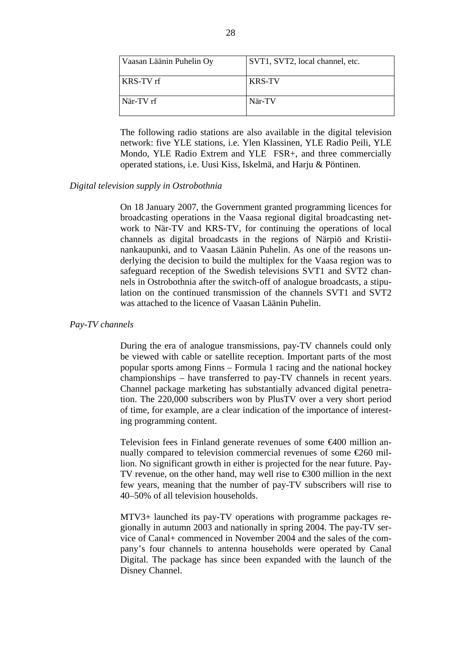| Vaasan Läänin Puhelin Oy | SVT1, SVT2, local channel, etc. |
|--------------------------|---------------------------------|
| KRS-TV rf                | <b>KRS-TV</b>                   |
| När-TV rf                | När-TV                          |

The following radio stations are also available in the digital television network: five YLE stations, i.e. Ylen Klassinen, YLE Radio Peili, YLE Mondo, YLE Radio Extrem and YLE FSR+, and three commercially operated stations, i.e. Uusi Kiss, Iskelmä, and Harju & Pöntinen.

# *Digital television supply in Ostrobothnia*

On 18 January 2007, the Government granted programming licences for broadcasting operations in the Vaasa regional digital broadcasting network to När-TV and KRS-TV, for continuing the operations of local channels as digital broadcasts in the regions of Närpiö and Kristiinankaupunki, and to Vaasan Läänin Puhelin. As one of the reasons underlying the decision to build the multiplex for the Vaasa region was to safeguard reception of the Swedish televisions SVT1 and SVT2 channels in Ostrobothnia after the switch-off of analogue broadcasts, a stipulation on the continued transmission of the channels SVT1 and SVT2 was attached to the licence of Vaasan Läänin Puhelin.

# *Pay-TV channels*

During the era of analogue transmissions, pay-TV channels could only be viewed with cable or satellite reception. Important parts of the most popular sports among Finns – Formula 1 racing and the national hockey championships – have transferred to pay-TV channels in recent years. Channel package marketing has substantially advanced digital penetration. The 220,000 subscribers won by PlusTV over a very short period of time, for example, are a clear indication of the importance of interesting programming content.

Television fees in Finland generate revenues of some €400 million annually compared to television commercial revenues of some  $\epsilon$ 260 million. No significant growth in either is projected for the near future. Pay-TV revenue, on the other hand, may well rise to  $\epsilon$ 300 million in the next few years, meaning that the number of pay-TV subscribers will rise to 40–50% of all television households.

MTV3+ launched its pay-TV operations with programme packages regionally in autumn 2003 and nationally in spring 2004. The pay-TV service of Canal+ commenced in November 2004 and the sales of the company's four channels to antenna households were operated by Canal Digital. The package has since been expanded with the launch of the Disney Channel.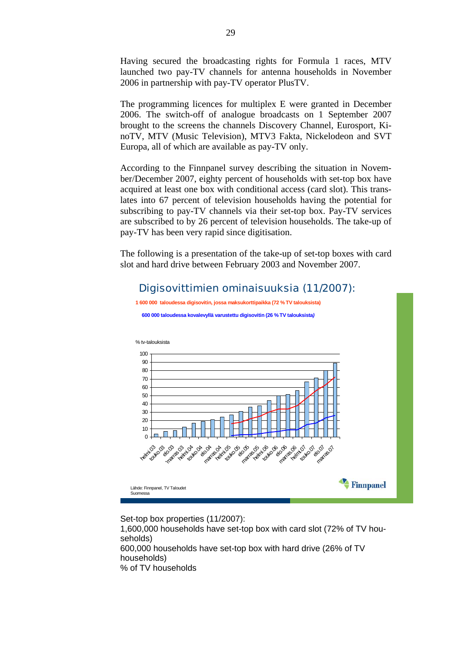Having secured the broadcasting rights for Formula 1 races, MTV launched two pay-TV channels for antenna households in November 2006 in partnership with pay-TV operator PlusTV.

The programming licences for multiplex E were granted in December 2006. The switch-off of analogue broadcasts on 1 September 2007 brought to the screens the channels Discovery Channel, Eurosport, KinoTV, MTV (Music Television), MTV3 Fakta, Nickelodeon and SVT Europa, all of which are available as pay-TV only.

According to the Finnpanel survey describing the situation in November/December 2007, eighty percent of households with set-top box have acquired at least one box with conditional access (card slot). This translates into 67 percent of television households having the potential for subscribing to pay-TV channels via their set-top box. Pay-TV services are subscribed to by 26 percent of television households. The take-up of pay-TV has been very rapid since digitisation.

The following is a presentation of the take-up of set-top boxes with card slot and hard drive between February 2003 and November 2007.

# Digisovittimien ominaisuuksia (11/2007):



Set-top box properties (11/2007):

1,600,000 households have set-top box with card slot (72% of TV households) 600,000 households have set-top box with hard drive (26% of TV households) % of TV households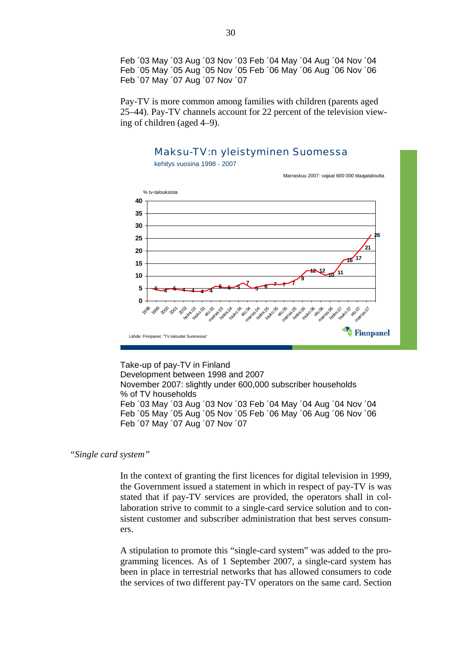Feb ´03 May ´03 Aug ´03 Nov ´03 Feb ´04 May ´04 Aug ´04 Nov ´04 Feb ´05 May ´05 Aug ´05 Nov ´05 Feb ´06 May ´06 Aug ´06 Nov ´06 Feb ´07 May ´07 Aug ´07 Nov ´07

Pay-TV is more common among families with children (parents aged 25–44). Pay-TV channels account for 22 percent of the television viewing of children (aged 4–9).



Take-up of pay-TV in Finland Development between 1998 and 2007 November 2007: slightly under 600,000 subscriber households % of TV households Feb ´03 May ´03 Aug ´03 Nov ´03 Feb ´04 May ´04 Aug ´04 Nov ´04 Feb ´05 May ´05 Aug ´05 Nov ´05 Feb ´06 May ´06 Aug ´06 Nov ´06 Feb ´07 May ´07 Aug ´07 Nov ´07

*"Single card system"* 

In the context of granting the first licences for digital television in 1999, the Government issued a statement in which in respect of pay-TV is was stated that if pay-TV services are provided, the operators shall in collaboration strive to commit to a single-card service solution and to consistent customer and subscriber administration that best serves consumers.

A stipulation to promote this "single-card system" was added to the programming licences. As of 1 September 2007, a single-card system has been in place in terrestrial networks that has allowed consumers to code the services of two different pay-TV operators on the same card. Section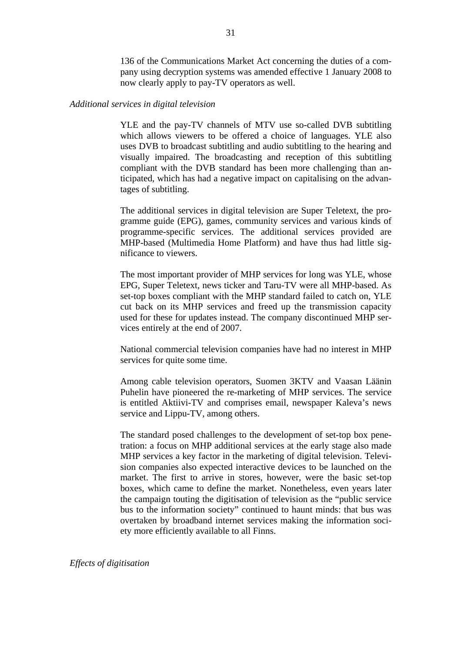136 of the Communications Market Act concerning the duties of a company using decryption systems was amended effective 1 January 2008 to now clearly apply to pay-TV operators as well.

# *Additional services in digital television*

YLE and the pay-TV channels of MTV use so-called DVB subtitling which allows viewers to be offered a choice of languages. YLE also uses DVB to broadcast subtitling and audio subtitling to the hearing and visually impaired. The broadcasting and reception of this subtitling compliant with the DVB standard has been more challenging than anticipated, which has had a negative impact on capitalising on the advantages of subtitling.

The additional services in digital television are Super Teletext, the programme guide (EPG), games, community services and various kinds of programme-specific services. The additional services provided are MHP-based (Multimedia Home Platform) and have thus had little significance to viewers.

The most important provider of MHP services for long was YLE, whose EPG, Super Teletext, news ticker and Taru-TV were all MHP-based. As set-top boxes compliant with the MHP standard failed to catch on, YLE cut back on its MHP services and freed up the transmission capacity used for these for updates instead. The company discontinued MHP services entirely at the end of 2007.

National commercial television companies have had no interest in MHP services for quite some time.

Among cable television operators, Suomen 3KTV and Vaasan Läänin Puhelin have pioneered the re-marketing of MHP services. The service is entitled Aktiivi-TV and comprises email, newspaper Kaleva's news service and Lippu-TV, among others.

The standard posed challenges to the development of set-top box penetration: a focus on MHP additional services at the early stage also made MHP services a key factor in the marketing of digital television. Television companies also expected interactive devices to be launched on the market. The first to arrive in stores, however, were the basic set-top boxes, which came to define the market. Nonetheless, even years later the campaign touting the digitisation of television as the "public service bus to the information society" continued to haunt minds: that bus was overtaken by broadband internet services making the information society more efficiently available to all Finns.

*Effects of digitisation*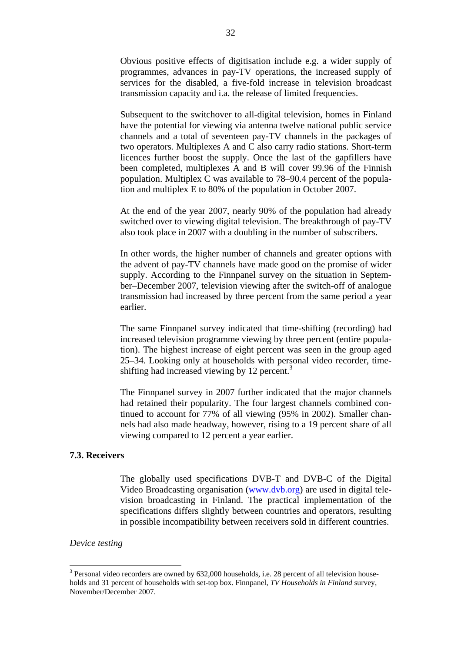<span id="page-32-0"></span>Obvious positive effects of digitisation include e.g. a wider supply of programmes, advances in pay-TV operations, the increased supply of services for the disabled, a five-fold increase in television broadcast transmission capacity and i.a. the release of limited frequencies.

Subsequent to the switchover to all-digital television, homes in Finland have the potential for viewing via antenna twelve national public service channels and a total of seventeen pay-TV channels in the packages of two operators. Multiplexes A and C also carry radio stations. Short-term licences further boost the supply. Once the last of the gapfillers have been completed, multiplexes A and B will cover 99.96 of the Finnish population. Multiplex C was available to 78–90.4 percent of the population and multiplex E to 80% of the population in October 2007.

At the end of the year 2007, nearly 90% of the population had already switched over to viewing digital television. The breakthrough of pay-TV also took place in 2007 with a doubling in the number of subscribers.

In other words, the higher number of channels and greater options with the advent of pay-TV channels have made good on the promise of wider supply. According to the Finnpanel survey on the situation in September–December 2007, television viewing after the switch-off of analogue transmission had increased by three percent from the same period a year earlier.

The same Finnpanel survey indicated that time-shifting (recording) had increased television programme viewing by three percent (entire population). The highest increase of eight percent was seen in the group aged 25–34. Looking only at households with personal video recorder, timeshifting had increased viewing by 12 percent. $3$ 

The Finnpanel survey in 2007 further indicated that the major channels had retained their popularity. The four largest channels combined continued to account for 77% of all viewing (95% in 2002). Smaller channels had also made headway, however, rising to a 19 percent share of all viewing compared to 12 percent a year earlier.

# **7.3. Receivers**

The globally used specifications DVB-T and DVB-C of the Digital Video Broadcasting organisation [\(www.dvb.org](http://www.dvb.org/)) are used in digital television broadcasting in Finland. The practical implementation of the specifications differs slightly between countries and operators, resulting in possible incompatibility between receivers sold in different countries.

# *Device testing*

 $\overline{a}$ 

<span id="page-32-1"></span> $3$  Personal video recorders are owned by 632,000 households, i.e. 28 percent of all television households and 31 percent of households with set-top box. Finnpanel, *TV Households in Finland* survey, November/December 2007.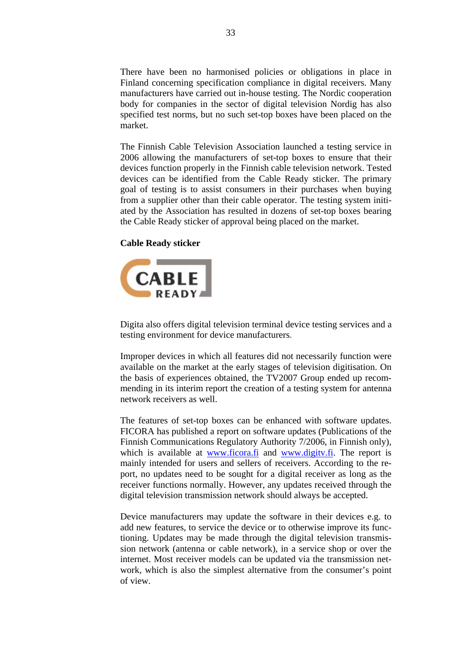There have been no harmonised policies or obligations in place in Finland concerning specification compliance in digital receivers. Many manufacturers have carried out in-house testing. The Nordic cooperation body for companies in the sector of digital television Nordig has also specified test norms, but no such set-top boxes have been placed on the market.

The Finnish Cable Television Association launched a testing service in 2006 allowing the manufacturers of set-top boxes to ensure that their devices function properly in the Finnish cable television network. Tested devices can be identified from the Cable Ready sticker. The primary goal of testing is to assist consumers in their purchases when buying from a supplier other than their cable operator. The testing system initiated by the Association has resulted in dozens of set-top boxes bearing the Cable Ready sticker of approval being placed on the market.

# **Cable Ready sticker**



Digita also offers digital television terminal device testing services and a testing environment for device manufacturers.

Improper devices in which all features did not necessarily function were available on the market at the early stages of television digitisation. On the basis of experiences obtained, the TV2007 Group ended up recommending in its interim report the creation of a testing system for antenna network receivers as well.

The features of set-top boxes can be enhanced with software updates. FICORA has published a report on software updates (Publications of the Finnish Communications Regulatory Authority 7/2006, in Finnish only), which is available at [www.ficora.fi](http://www.ficora.fi/) and www.digity.fi. The report is mainly intended for users and sellers of receivers. According to the report, no updates need to be sought for a digital receiver as long as the receiver functions normally. However, any updates received through the digital television transmission network should always be accepted.

Device manufacturers may update the software in their devices e.g. to add new features, to service the device or to otherwise improve its functioning. Updates may be made through the digital television transmission network (antenna or cable network), in a service shop or over the internet. Most receiver models can be updated via the transmission network, which is also the simplest alternative from the consumer's point of view.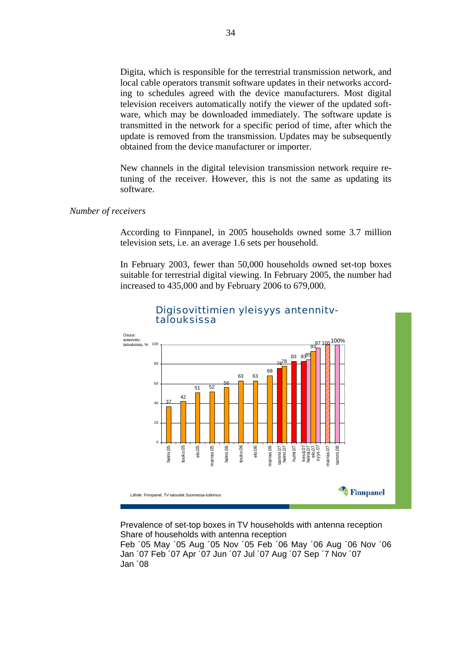Digita, which is responsible for the terrestrial transmission network, and local cable operators transmit software updates in their networks according to schedules agreed with the device manufacturers. Most digital television receivers automatically notify the viewer of the updated software, which may be downloaded immediately. The software update is transmitted in the network for a specific period of time, after which the update is removed from the transmission. Updates may be subsequently obtained from the device manufacturer or importer.

New channels in the digital television transmission network require retuning of the receiver. However, this is not the same as updating its software.

# *Number of receivers*

According to Finnpanel, in 2005 households owned some 3.7 million television sets, i.e. an average 1.6 sets per household.

In February 2003, fewer than 50,000 households owned set-top boxes suitable for terrestrial digital viewing. In February 2005, the number had increased to 435,000 and by February 2006 to 679,000.



# Digisovittimien yleisyys antennitv- talouksissa

Prevalence of set-top boxes in TV households with antenna reception Share of households with antenna reception Feb ´05 May ´05 Aug ´05 Nov ´05 Feb ´06 May ´06 Aug ´06 Nov ´06 Jan ´07 Feb ´07 Apr ´07 Jun ´07 Jul ´07 Aug ´07 Sep ´7 Nov ´07 Jan ´08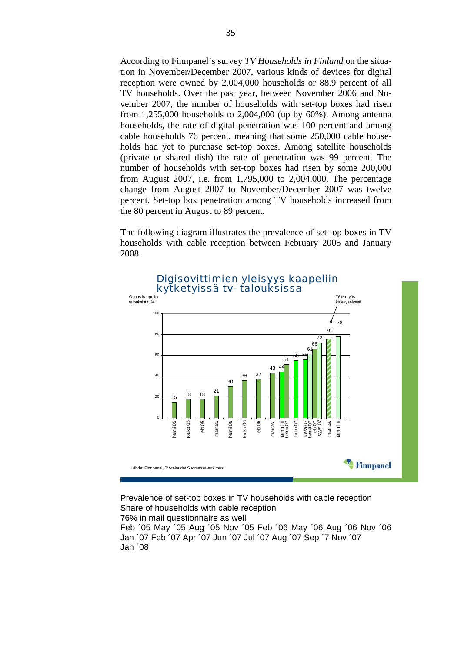According to Finnpanel's survey *TV Households in Finland* on the situation in November/December 2007, various kinds of devices for digital reception were owned by 2,004,000 households or 88.9 percent of all TV households. Over the past year, between November 2006 and November 2007, the number of households with set-top boxes had risen from 1,255,000 households to 2,004,000 (up by 60%). Among antenna households, the rate of digital penetration was 100 percent and among cable households 76 percent, meaning that some 250,000 cable households had yet to purchase set-top boxes. Among satellite households (private or shared dish) the rate of penetration was 99 percent. The number of households with set-top boxes had risen by some 200,000 from August 2007, i.e. from 1,795,000 to 2,004,000. The percentage change from August 2007 to November/December 2007 was twelve percent. Set-top box penetration among TV households increased from the 80 percent in August to 89 percent.

The following diagram illustrates the prevalence of set-top boxes in TV households with cable reception between February 2005 and January 2008.



Digisovittimien yleisyys kaapeliin

Prevalence of set-top boxes in TV households with cable reception Share of households with cable reception 76% in mail questionnaire as well

Feb ´05 May ´05 Aug ´05 Nov ´05 Feb ´06 May ´06 Aug ´06 Nov ´06 Jan ´07 Feb ´07 Apr ´07 Jun ´07 Jul ´07 Aug ´07 Sep ´7 Nov ´07 Jan ´08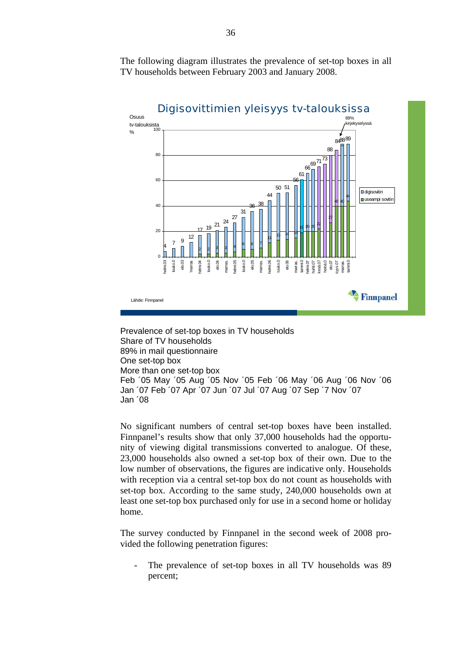The following diagram illustrates the prevalence of set-top boxes in all TV households between February 2003 and January 2008.



Prevalence of set-top boxes in TV households Share of TV households 89% in mail questionnaire One set-top box More than one set-top box Feb ´05 May ´05 Aug ´05 Nov ´05 Feb ´06 May ´06 Aug ´06 Nov ´06 Jan ´07 Feb ´07 Apr ´07 Jun ´07 Jul ´07 Aug ´07 Sep ´7 Nov ´07 Jan ´08

No significant numbers of central set-top boxes have been installed. Finnpanel's results show that only 37,000 households had the opportunity of viewing digital transmissions converted to analogue. Of these, 23,000 households also owned a set-top box of their own. Due to the low number of observations, the figures are indicative only. Households with reception via a central set-top box do not count as households with set-top box. According to the same study, 240,000 households own at least one set-top box purchased only for use in a second home or holiday home.

The survey conducted by Finnpanel in the second week of 2008 provided the following penetration figures:

The prevalence of set-top boxes in all TV households was 89 percent;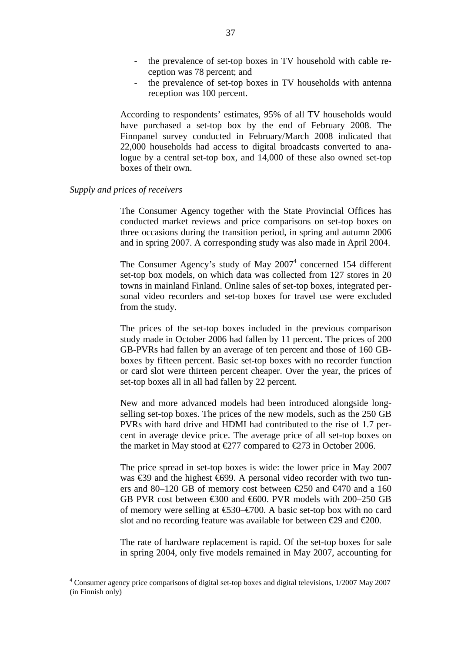- the prevalence of set-top boxes in TV household with cable reception was 78 percent; and
- the prevalence of set-top boxes in TV households with antenna reception was 100 percent.

According to respondents' estimates, 95% of all TV households would have purchased a set-top box by the end of February 2008. The Finnpanel survey conducted in February/March 2008 indicated that 22,000 households had access to digital broadcasts converted to analogue by a central set-top box, and 14,000 of these also owned set-top boxes of their own.

## *Supply and prices of receivers*

 $\overline{a}$ 

The Consumer Agency together with the State Provincial Offices has conducted market reviews and price comparisons on set-top boxes on three occasions during the transition period, in spring and autumn 2006 and in spring 2007. A corresponding study was also made in April 2004.

The Consumer Agency's study of May  $2007<sup>4</sup>$  $2007<sup>4</sup>$  $2007<sup>4</sup>$  concerned 154 different set-top box models, on which data was collected from 127 stores in 20 towns in mainland Finland. Online sales of set-top boxes, integrated personal video recorders and set-top boxes for travel use were excluded from the study.

The prices of the set-top boxes included in the previous comparison study made in October 2006 had fallen by 11 percent. The prices of 200 GB-PVRs had fallen by an average of ten percent and those of 160 GBboxes by fifteen percent. Basic set-top boxes with no recorder function or card slot were thirteen percent cheaper. Over the year, the prices of set-top boxes all in all had fallen by 22 percent.

New and more advanced models had been introduced alongside longselling set-top boxes. The prices of the new models, such as the 250 GB PVRs with hard drive and HDMI had contributed to the rise of 1.7 percent in average device price. The average price of all set-top boxes on the market in May stood at  $\epsilon$ 277 compared to  $\epsilon$ 273 in October 2006.

The price spread in set-top boxes is wide: the lower price in May 2007 was €39 and the highest €699. A personal video recorder with two tuners and 80–120 GB of memory cost between €250 and €470 and a 160 GB PVR cost between €300 and €600. PVR models with 200–250 GB of memory were selling at  $\text{\textsterling}30-\text{\textsterling}700$ . A basic set-top box with no card slot and no recording feature was available for between  $\epsilon$ 29 and  $\epsilon$ 200.

The rate of hardware replacement is rapid. Of the set-top boxes for sale in spring 2004, only five models remained in May 2007, accounting for

<span id="page-37-0"></span><sup>&</sup>lt;sup>4</sup> Consumer agency price comparisons of digital set-top boxes and digital televisions, 1/2007 May 2007 (in Finnish only)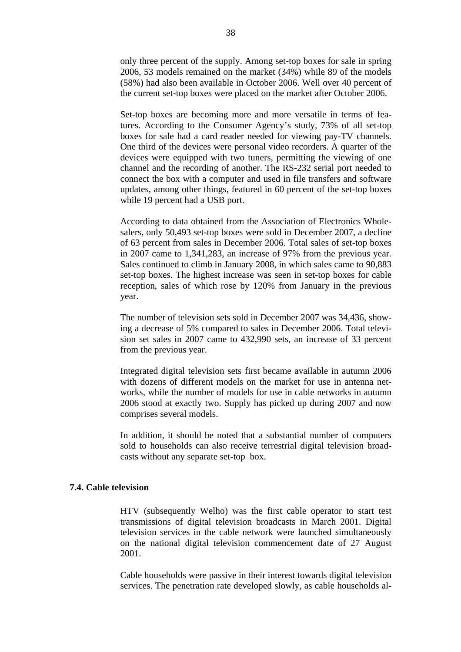only three percent of the supply. Among set-top boxes for sale in spring 2006, 53 models remained on the market (34%) while 89 of the models (58%) had also been available in October 2006. Well over 40 percent of the current set-top boxes were placed on the market after October 2006.

Set-top boxes are becoming more and more versatile in terms of features. According to the Consumer Agency's study, 73% of all set-top boxes for sale had a card reader needed for viewing pay-TV channels. One third of the devices were personal video recorders. A quarter of the devices were equipped with two tuners, permitting the viewing of one channel and the recording of another. The RS-232 serial port needed to connect the box with a computer and used in file transfers and software updates, among other things, featured in 60 percent of the set-top boxes while 19 percent had a USB port.

According to data obtained from the Association of Electronics Wholesalers, only 50,493 set-top boxes were sold in December 2007, a decline of 63 percent from sales in December 2006. Total sales of set-top boxes in 2007 came to 1,341,283, an increase of 97% from the previous year. Sales continued to climb in January 2008, in which sales came to 90,883 set-top boxes. The highest increase was seen in set-top boxes for cable reception, sales of which rose by 120% from January in the previous year.

The number of television sets sold in December 2007 was 34,436, showing a decrease of 5% compared to sales in December 2006. Total television set sales in 2007 came to 432,990 sets, an increase of 33 percent from the previous year.

Integrated digital television sets first became available in autumn 2006 with dozens of different models on the market for use in antenna networks, while the number of models for use in cable networks in autumn 2006 stood at exactly two. Supply has picked up during 2007 and now comprises several models.

In addition, it should be noted that a substantial number of computers sold to households can also receive terrestrial digital television broadcasts without any separate set-top box.

# **7.4. Cable television**

HTV (subsequently Welho) was the first cable operator to start test transmissions of digital television broadcasts in March 2001. Digital television services in the cable network were launched simultaneously on the national digital television commencement date of 27 August 2001.

Cable households were passive in their interest towards digital television services. The penetration rate developed slowly, as cable households al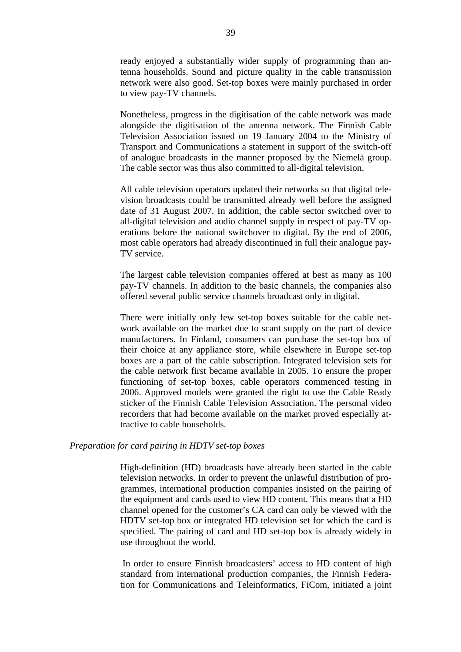ready enjoyed a substantially wider supply of programming than antenna households. Sound and picture quality in the cable transmission network were also good. Set-top boxes were mainly purchased in order to view pay-TV channels.

Nonetheless, progress in the digitisation of the cable network was made alongside the digitisation of the antenna network. The Finnish Cable Television Association issued on 19 January 2004 to the Ministry of Transport and Communications a statement in support of the switch-off of analogue broadcasts in the manner proposed by the Niemelä group. The cable sector was thus also committed to all-digital television.

All cable television operators updated their networks so that digital television broadcasts could be transmitted already well before the assigned date of 31 August 2007. In addition, the cable sector switched over to all-digital television and audio channel supply in respect of pay-TV operations before the national switchover to digital. By the end of 2006, most cable operators had already discontinued in full their analogue pay-TV service.

The largest cable television companies offered at best as many as 100 pay-TV channels. In addition to the basic channels, the companies also offered several public service channels broadcast only in digital.

There were initially only few set-top boxes suitable for the cable network available on the market due to scant supply on the part of device manufacturers. In Finland, consumers can purchase the set-top box of their choice at any appliance store, while elsewhere in Europe set-top boxes are a part of the cable subscription. Integrated television sets for the cable network first became available in 2005. To ensure the proper functioning of set-top boxes, cable operators commenced testing in 2006. Approved models were granted the right to use the Cable Ready sticker of the Finnish Cable Television Association. The personal video recorders that had become available on the market proved especially attractive to cable households.

# *Preparation for card pairing in HDTV set-top boxes*

High-definition (HD) broadcasts have already been started in the cable television networks. In order to prevent the unlawful distribution of programmes, international production companies insisted on the pairing of the equipment and cards used to view HD content. This means that a HD channel opened for the customer's CA card can only be viewed with the HDTV set-top box or integrated HD television set for which the card is specified. The pairing of card and HD set-top box is already widely in use throughout the world.

 In order to ensure Finnish broadcasters' access to HD content of high standard from international production companies, the Finnish Federation for Communications and Teleinformatics, FiCom, initiated a joint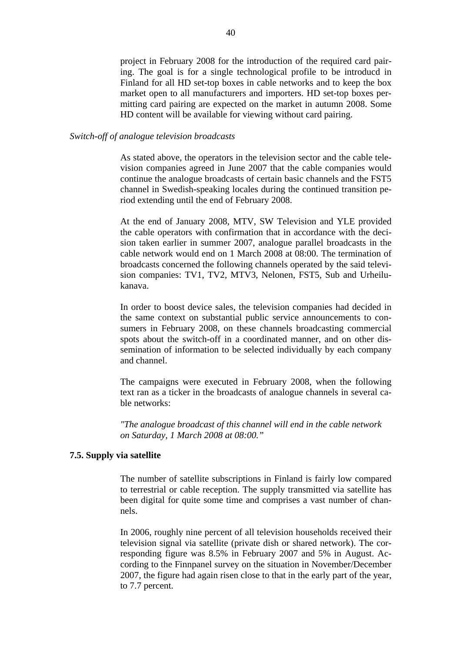project in February 2008 for the introduction of the required card pairing. The goal is for a single technological profile to be introducd in Finland for all HD set-top boxes in cable networks and to keep the box market open to all manufacturers and importers. HD set-top boxes permitting card pairing are expected on the market in autumn 2008. Some HD content will be available for viewing without card pairing.

# *Switch-off of analogue television broadcasts*

As stated above, the operators in the television sector and the cable television companies agreed in June 2007 that the cable companies would continue the analogue broadcasts of certain basic channels and the FST5 channel in Swedish-speaking locales during the continued transition period extending until the end of February 2008.

At the end of January 2008, MTV, SW Television and YLE provided the cable operators with confirmation that in accordance with the decision taken earlier in summer 2007, analogue parallel broadcasts in the cable network would end on 1 March 2008 at 08:00. The termination of broadcasts concerned the following channels operated by the said television companies: TV1, TV2, MTV3, Nelonen, FST5, Sub and Urheilukanava.

In order to boost device sales, the television companies had decided in the same context on substantial public service announcements to consumers in February 2008, on these channels broadcasting commercial spots about the switch-off in a coordinated manner, and on other dissemination of information to be selected individually by each company and channel.

The campaigns were executed in February 2008, when the following text ran as a ticker in the broadcasts of analogue channels in several cable networks:

*"The analogue broadcast of this channel will end in the cable network on Saturday, 1 March 2008 at 08:00."*

# **7.5. Supply via satellite**

The number of satellite subscriptions in Finland is fairly low compared to terrestrial or cable reception. The supply transmitted via satellite has been digital for quite some time and comprises a vast number of channels.

In 2006, roughly nine percent of all television households received their television signal via satellite (private dish or shared network). The corresponding figure was 8.5% in February 2007 and 5% in August. According to the Finnpanel survey on the situation in November/December 2007, the figure had again risen close to that in the early part of the year, to 7.7 percent.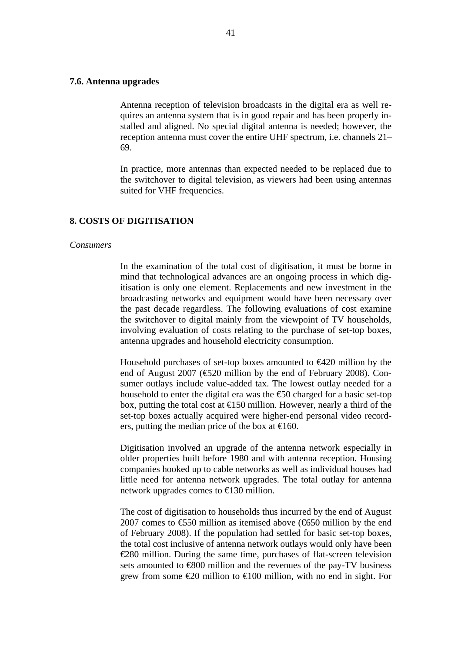# **7.6. Antenna upgrades**

Antenna reception of television broadcasts in the digital era as well requires an antenna system that is in good repair and has been properly installed and aligned. No special digital antenna is needed; however, the reception antenna must cover the entire UHF spectrum, i.e. channels 21– 69.

In practice, more antennas than expected needed to be replaced due to the switchover to digital television, as viewers had been using antennas suited for VHF frequencies.

## **8. COSTS OF DIGITISATION**

#### *Consumers*

In the examination of the total cost of digitisation, it must be borne in mind that technological advances are an ongoing process in which digitisation is only one element. Replacements and new investment in the broadcasting networks and equipment would have been necessary over the past decade regardless. The following evaluations of cost examine the switchover to digital mainly from the viewpoint of TV households, involving evaluation of costs relating to the purchase of set-top boxes, antenna upgrades and household electricity consumption.

Household purchases of set-top boxes amounted to  $\epsilon$ 420 million by the end of August 2007 (€520 million by the end of February 2008). Consumer outlays include value-added tax. The lowest outlay needed for a household to enter the digital era was the  $\epsilon$ 60 charged for a basic set-top box, putting the total cost at  $\bigoplus$  50 million. However, nearly a third of the set-top boxes actually acquired were higher-end personal video recorders, putting the median price of the box at  $\in$  160.

Digitisation involved an upgrade of the antenna network especially in older properties built before 1980 and with antenna reception. Housing companies hooked up to cable networks as well as individual houses had little need for antenna network upgrades. The total outlay for antenna network upgrades comes to  $\in$  30 million.

The cost of digitisation to households thus incurred by the end of August 2007 comes to  $\epsilon$ 550 million as itemised above ( $\epsilon$ 650 million by the end of February 2008). If the population had settled for basic set-top boxes, the total cost inclusive of antenna network outlays would only have been €280 million. During the same time, purchases of flat-screen television sets amounted to  $600$  million and the revenues of the pay-TV business grew from some  $\epsilon 20$  million to  $\epsilon 100$  million, with no end in sight. For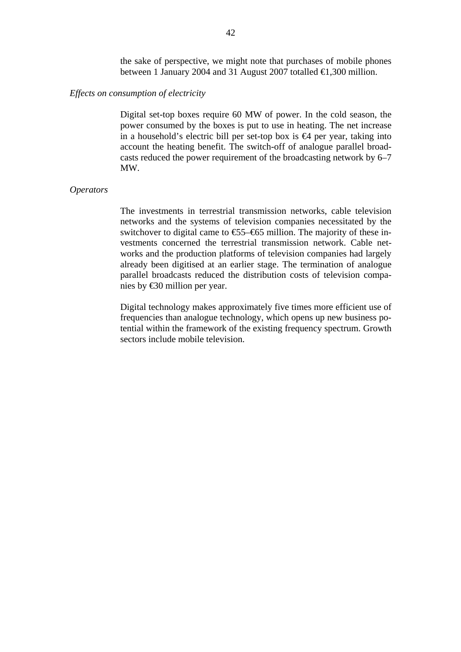the sake of perspective, we might note that purchases of mobile phones between 1 January 2004 and 31 August 2007 totalled €1,300 million.

## *Effects on consumption of electricity*

Digital set-top boxes require 60 MW of power. In the cold season, the power consumed by the boxes is put to use in heating. The net increase in a household's electric bill per set-top box is  $\bigoplus$  per year, taking into account the heating benefit. The switch-off of analogue parallel broadcasts reduced the power requirement of the broadcasting network by 6–7 MW.

#### *Operators*

The investments in terrestrial transmission networks, cable television networks and the systems of television companies necessitated by the switchover to digital came to  $\text{\textsterling}5-\text{\textsterling}65$  million. The majority of these investments concerned the terrestrial transmission network. Cable networks and the production platforms of television companies had largely already been digitised at an earlier stage. The termination of analogue parallel broadcasts reduced the distribution costs of television companies by €30 million per year.

Digital technology makes approximately five times more efficient use of frequencies than analogue technology, which opens up new business potential within the framework of the existing frequency spectrum. Growth sectors include mobile television.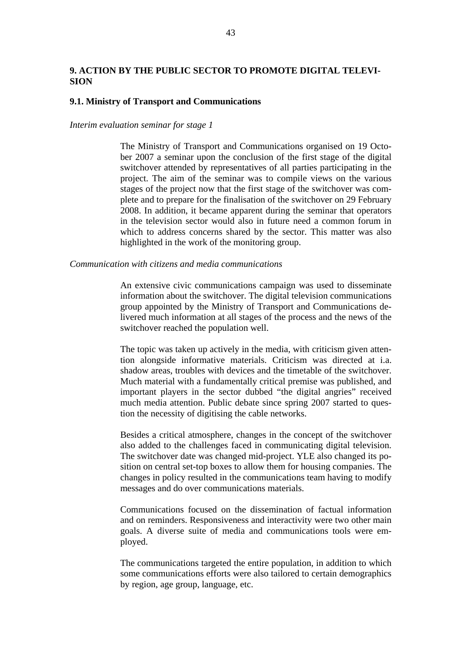# **9. ACTION BY THE PUBLIC SECTOR TO PROMOTE DIGITAL TELEVI-SION**

## **9.1. Ministry of Transport and Communications**

#### *Interim evaluation seminar for stage 1*

The Ministry of Transport and Communications organised on 19 October 2007 a seminar upon the conclusion of the first stage of the digital switchover attended by representatives of all parties participating in the project. The aim of the seminar was to compile views on the various stages of the project now that the first stage of the switchover was complete and to prepare for the finalisation of the switchover on 29 February 2008. In addition, it became apparent during the seminar that operators in the television sector would also in future need a common forum in which to address concerns shared by the sector. This matter was also highlighted in the work of the monitoring group.

#### *Communication with citizens and media communications*

An extensive civic communications campaign was used to disseminate information about the switchover. The digital television communications group appointed by the Ministry of Transport and Communications delivered much information at all stages of the process and the news of the switchover reached the population well.

The topic was taken up actively in the media, with criticism given attention alongside informative materials. Criticism was directed at i.a. shadow areas, troubles with devices and the timetable of the switchover. Much material with a fundamentally critical premise was published, and important players in the sector dubbed "the digital angries" received much media attention. Public debate since spring 2007 started to question the necessity of digitising the cable networks.

Besides a critical atmosphere, changes in the concept of the switchover also added to the challenges faced in communicating digital television. The switchover date was changed mid-project. YLE also changed its position on central set-top boxes to allow them for housing companies. The changes in policy resulted in the communications team having to modify messages and do over communications materials.

Communications focused on the dissemination of factual information and on reminders. Responsiveness and interactivity were two other main goals. A diverse suite of media and communications tools were employed.

The communications targeted the entire population, in addition to which some communications efforts were also tailored to certain demographics by region, age group, language, etc.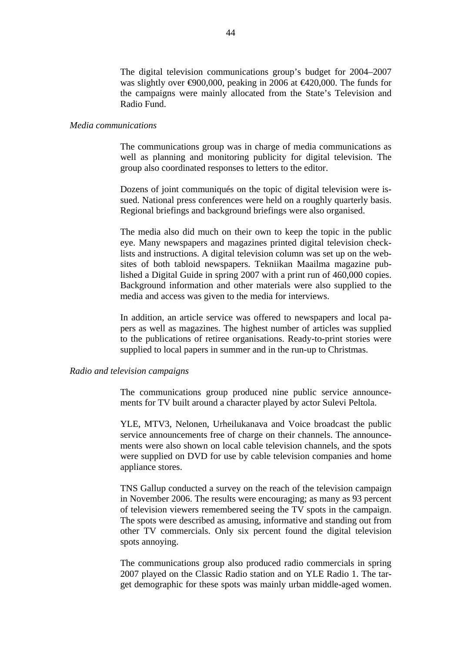The digital television communications group's budget for 2004–2007 was slightly over  $\epsilon 900,000$ , peaking in 2006 at  $\epsilon 420,000$ . The funds for the campaigns were mainly allocated from the State's Television and Radio Fund.

## *Media communications*

The communications group was in charge of media communications as well as planning and monitoring publicity for digital television. The group also coordinated responses to letters to the editor.

Dozens of joint communiqués on the topic of digital television were issued. National press conferences were held on a roughly quarterly basis. Regional briefings and background briefings were also organised.

The media also did much on their own to keep the topic in the public eye. Many newspapers and magazines printed digital television checklists and instructions. A digital television column was set up on the websites of both tabloid newspapers. Tekniikan Maailma magazine published a Digital Guide in spring 2007 with a print run of 460,000 copies. Background information and other materials were also supplied to the media and access was given to the media for interviews.

In addition, an article service was offered to newspapers and local papers as well as magazines. The highest number of articles was supplied to the publications of retiree organisations. Ready-to-print stories were supplied to local papers in summer and in the run-up to Christmas.

#### *Radio and television campaigns*

The communications group produced nine public service announcements for TV built around a character played by actor Sulevi Peltola.

YLE, MTV3, Nelonen, Urheilukanava and Voice broadcast the public service announcements free of charge on their channels. The announcements were also shown on local cable television channels, and the spots were supplied on DVD for use by cable television companies and home appliance stores.

TNS Gallup conducted a survey on the reach of the television campaign in November 2006. The results were encouraging; as many as 93 percent of television viewers remembered seeing the TV spots in the campaign. The spots were described as amusing, informative and standing out from other TV commercials. Only six percent found the digital television spots annoying.

The communications group also produced radio commercials in spring 2007 played on the Classic Radio station and on YLE Radio 1. The target demographic for these spots was mainly urban middle-aged women.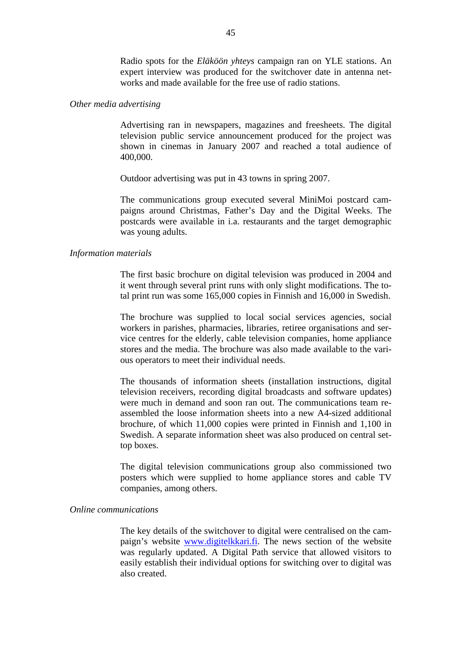Radio spots for the *Eläköön yhteys* campaign ran on YLE stations. An expert interview was produced for the switchover date in antenna networks and made available for the free use of radio stations.

#### *Other media advertising*

Advertising ran in newspapers, magazines and freesheets. The digital television public service announcement produced for the project was shown in cinemas in January 2007 and reached a total audience of 400,000.

Outdoor advertising was put in 43 towns in spring 2007.

The communications group executed several MiniMoi postcard campaigns around Christmas, Father's Day and the Digital Weeks. The postcards were available in i.a. restaurants and the target demographic was young adults.

# *Information materials*

The first basic brochure on digital television was produced in 2004 and it went through several print runs with only slight modifications. The total print run was some 165,000 copies in Finnish and 16,000 in Swedish.

The brochure was supplied to local social services agencies, social workers in parishes, pharmacies, libraries, retiree organisations and service centres for the elderly, cable television companies, home appliance stores and the media. The brochure was also made available to the various operators to meet their individual needs.

The thousands of information sheets (installation instructions, digital television receivers, recording digital broadcasts and software updates) were much in demand and soon ran out. The communications team reassembled the loose information sheets into a new A4-sized additional brochure, of which 11,000 copies were printed in Finnish and 1,100 in Swedish. A separate information sheet was also produced on central settop boxes.

The digital television communications group also commissioned two posters which were supplied to home appliance stores and cable TV companies, among others.

## *Online communications*

The key details of the switchover to digital were centralised on the campaign's website [www.digitelkkari.fi](http://www.digitelkkari.fi/). The news section of the website was regularly updated. A Digital Path service that allowed visitors to easily establish their individual options for switching over to digital was also created.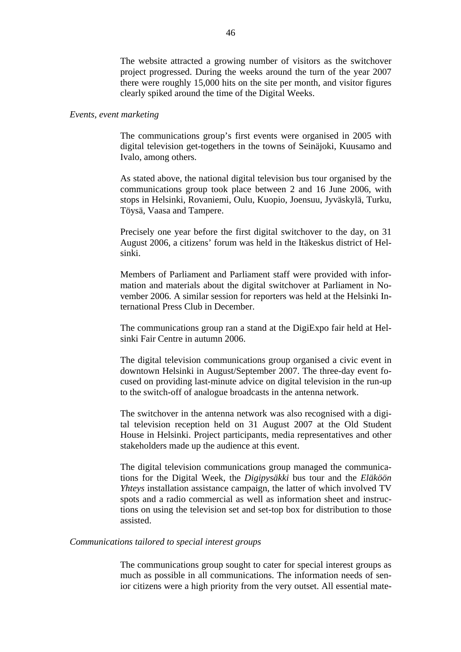The website attracted a growing number of visitors as the switchover project progressed. During the weeks around the turn of the year 2007 there were roughly 15,000 hits on the site per month, and visitor figures clearly spiked around the time of the Digital Weeks.

## *Events, event marketing*

The communications group's first events were organised in 2005 with digital television get-togethers in the towns of Seinäjoki, Kuusamo and Ivalo, among others.

As stated above, the national digital television bus tour organised by the communications group took place between 2 and 16 June 2006, with stops in Helsinki, Rovaniemi, Oulu, Kuopio, Joensuu, Jyväskylä, Turku, Töysä, Vaasa and Tampere.

Precisely one year before the first digital switchover to the day, on 31 August 2006, a citizens' forum was held in the Itäkeskus district of Helsinki.

Members of Parliament and Parliament staff were provided with information and materials about the digital switchover at Parliament in November 2006. A similar session for reporters was held at the Helsinki International Press Club in December.

The communications group ran a stand at the DigiExpo fair held at Helsinki Fair Centre in autumn 2006.

The digital television communications group organised a civic event in downtown Helsinki in August/September 2007. The three-day event focused on providing last-minute advice on digital television in the run-up to the switch-off of analogue broadcasts in the antenna network.

The switchover in the antenna network was also recognised with a digital television reception held on 31 August 2007 at the Old Student House in Helsinki. Project participants, media representatives and other stakeholders made up the audience at this event.

The digital television communications group managed the communications for the Digital Week, the *Digipysäkki* bus tour and the *Eläköön Yhteys* installation assistance campaign, the latter of which involved TV spots and a radio commercial as well as information sheet and instructions on using the television set and set-top box for distribution to those assisted.

#### *Communications tailored to special interest groups*

The communications group sought to cater for special interest groups as much as possible in all communications. The information needs of senior citizens were a high priority from the very outset. All essential mate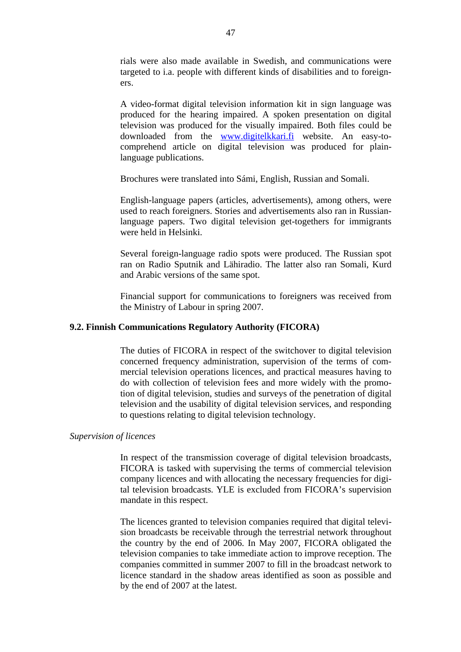rials were also made available in Swedish, and communications were targeted to i.a. people with different kinds of disabilities and to foreigners.

A video-format digital television information kit in sign language was produced for the hearing impaired. A spoken presentation on digital television was produced for the visually impaired. Both files could be downloaded from the [www.digitelkkari.fi](http://www.digitelkkari.fi/) website. An easy-tocomprehend article on digital television was produced for plainlanguage publications.

Brochures were translated into Sámi, English, Russian and Somali.

English-language papers (articles, advertisements), among others, were used to reach foreigners. Stories and advertisements also ran in Russianlanguage papers. Two digital television get-togethers for immigrants were held in Helsinki.

Several foreign-language radio spots were produced. The Russian spot ran on Radio Sputnik and Lähiradio. The latter also ran Somali, Kurd and Arabic versions of the same spot.

Financial support for communications to foreigners was received from the Ministry of Labour in spring 2007.

### **9.2. Finnish Communications Regulatory Authority (FICORA)**

The duties of FICORA in respect of the switchover to digital television concerned frequency administration, supervision of the terms of commercial television operations licences, and practical measures having to do with collection of television fees and more widely with the promotion of digital television, studies and surveys of the penetration of digital television and the usability of digital television services, and responding to questions relating to digital television technology.

## *Supervision of licences*

In respect of the transmission coverage of digital television broadcasts, FICORA is tasked with supervising the terms of commercial television company licences and with allocating the necessary frequencies for digital television broadcasts. YLE is excluded from FICORA's supervision mandate in this respect.

The licences granted to television companies required that digital television broadcasts be receivable through the terrestrial network throughout the country by the end of 2006. In May 2007, FICORA obligated the television companies to take immediate action to improve reception. The companies committed in summer 2007 to fill in the broadcast network to licence standard in the shadow areas identified as soon as possible and by the end of 2007 at the latest.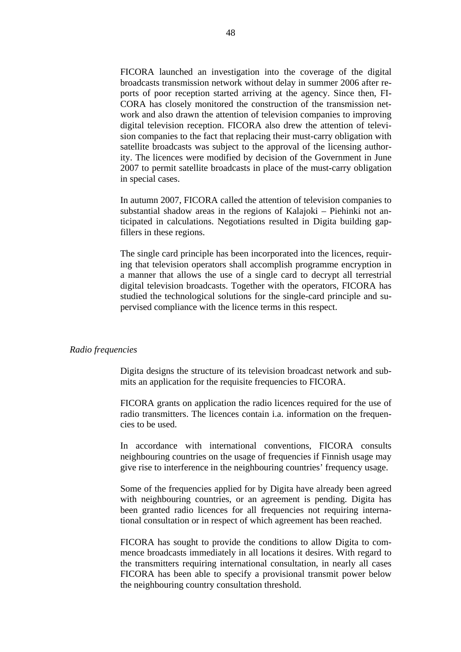FICORA launched an investigation into the coverage of the digital broadcasts transmission network without delay in summer 2006 after reports of poor reception started arriving at the agency. Since then, FI-CORA has closely monitored the construction of the transmission network and also drawn the attention of television companies to improving digital television reception. FICORA also drew the attention of television companies to the fact that replacing their must-carry obligation with satellite broadcasts was subject to the approval of the licensing authority. The licences were modified by decision of the Government in June 2007 to permit satellite broadcasts in place of the must-carry obligation in special cases.

In autumn 2007, FICORA called the attention of television companies to substantial shadow areas in the regions of Kalajoki – Piehinki not anticipated in calculations. Negotiations resulted in Digita building gapfillers in these regions.

The single card principle has been incorporated into the licences, requiring that television operators shall accomplish programme encryption in a manner that allows the use of a single card to decrypt all terrestrial digital television broadcasts. Together with the operators, FICORA has studied the technological solutions for the single-card principle and supervised compliance with the licence terms in this respect.

### *Radio frequencies*

Digita designs the structure of its television broadcast network and submits an application for the requisite frequencies to FICORA.

FICORA grants on application the radio licences required for the use of radio transmitters. The licences contain i.a. information on the frequencies to be used.

In accordance with international conventions, FICORA consults neighbouring countries on the usage of frequencies if Finnish usage may give rise to interference in the neighbouring countries' frequency usage.

Some of the frequencies applied for by Digita have already been agreed with neighbouring countries, or an agreement is pending. Digita has been granted radio licences for all frequencies not requiring international consultation or in respect of which agreement has been reached.

FICORA has sought to provide the conditions to allow Digita to commence broadcasts immediately in all locations it desires. With regard to the transmitters requiring international consultation, in nearly all cases FICORA has been able to specify a provisional transmit power below the neighbouring country consultation threshold.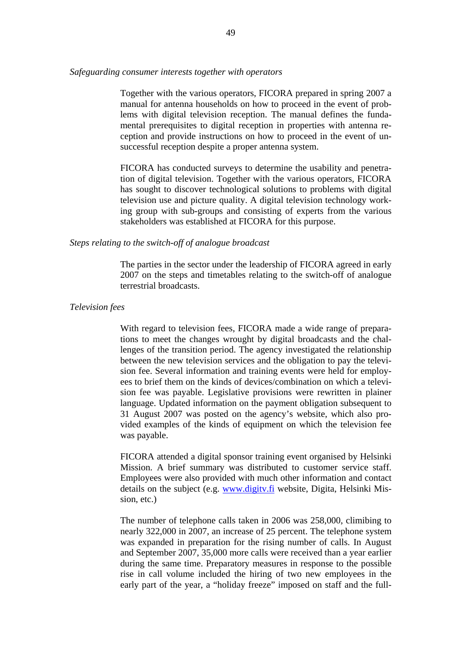*Safeguarding consumer interests together with operators* 

Together with the various operators, FICORA prepared in spring 2007 a manual for antenna households on how to proceed in the event of problems with digital television reception. The manual defines the fundamental prerequisites to digital reception in properties with antenna reception and provide instructions on how to proceed in the event of unsuccessful reception despite a proper antenna system.

FICORA has conducted surveys to determine the usability and penetration of digital television. Together with the various operators, FICORA has sought to discover technological solutions to problems with digital television use and picture quality. A digital television technology working group with sub-groups and consisting of experts from the various stakeholders was established at FICORA for this purpose.

## *Steps relating to the switch-off of analogue broadcast*

The parties in the sector under the leadership of FICORA agreed in early 2007 on the steps and timetables relating to the switch-off of analogue terrestrial broadcasts.

### *Television fees*

With regard to television fees, FICORA made a wide range of preparations to meet the changes wrought by digital broadcasts and the challenges of the transition period. The agency investigated the relationship between the new television services and the obligation to pay the television fee. Several information and training events were held for employees to brief them on the kinds of devices/combination on which a television fee was payable. Legislative provisions were rewritten in plainer language. Updated information on the payment obligation subsequent to 31 August 2007 was posted on the agency's website, which also provided examples of the kinds of equipment on which the television fee was payable.

FICORA attended a digital sponsor training event organised by Helsinki Mission. A brief summary was distributed to customer service staff. Employees were also provided with much other information and contact details on the subject (e.g. [www.digitv.fi](http://www.digitv.fi/) website, Digita, Helsinki Mission, etc.)

The number of telephone calls taken in 2006 was 258,000, climibing to nearly 322,000 in 2007, an increase of 25 percent. The telephone system was expanded in preparation for the rising number of calls. In August and September 2007, 35,000 more calls were received than a year earlier during the same time. Preparatory measures in response to the possible rise in call volume included the hiring of two new employees in the early part of the year, a "holiday freeze" imposed on staff and the full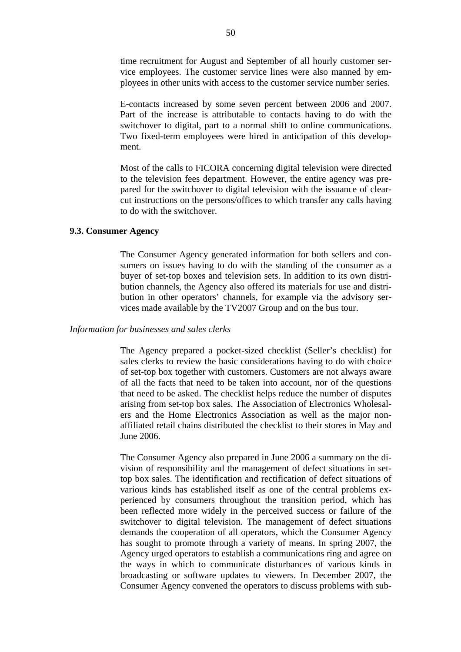time recruitment for August and September of all hourly customer service employees. The customer service lines were also manned by employees in other units with access to the customer service number series.

E-contacts increased by some seven percent between 2006 and 2007. Part of the increase is attributable to contacts having to do with the switchover to digital, part to a normal shift to online communications. Two fixed-term employees were hired in anticipation of this development.

Most of the calls to FICORA concerning digital television were directed to the television fees department. However, the entire agency was prepared for the switchover to digital television with the issuance of clearcut instructions on the persons/offices to which transfer any calls having to do with the switchover.

# **9.3. Consumer Agency**

The Consumer Agency generated information for both sellers and consumers on issues having to do with the standing of the consumer as a buyer of set-top boxes and television sets. In addition to its own distribution channels, the Agency also offered its materials for use and distribution in other operators' channels, for example via the advisory services made available by the TV2007 Group and on the bus tour.

## *Information for businesses and sales clerks*

The Agency prepared a pocket-sized checklist (Seller's checklist) for sales clerks to review the basic considerations having to do with choice of set-top box together with customers. Customers are not always aware of all the facts that need to be taken into account, nor of the questions that need to be asked. The checklist helps reduce the number of disputes arising from set-top box sales. The Association of Electronics Wholesalers and the Home Electronics Association as well as the major nonaffiliated retail chains distributed the checklist to their stores in May and June 2006.

The Consumer Agency also prepared in June 2006 a summary on the division of responsibility and the management of defect situations in settop box sales. The identification and rectification of defect situations of various kinds has established itself as one of the central problems experienced by consumers throughout the transition period, which has been reflected more widely in the perceived success or failure of the switchover to digital television. The management of defect situations demands the cooperation of all operators, which the Consumer Agency has sought to promote through a variety of means. In spring 2007, the Agency urged operators to establish a communications ring and agree on the ways in which to communicate disturbances of various kinds in broadcasting or software updates to viewers. In December 2007, the Consumer Agency convened the operators to discuss problems with sub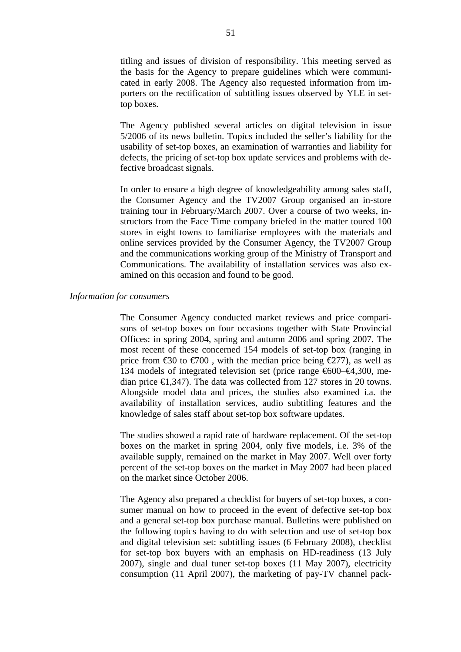titling and issues of division of responsibility. This meeting served as the basis for the Agency to prepare guidelines which were communicated in early 2008. The Agency also requested information from importers on the rectification of subtitling issues observed by YLE in settop boxes.

The Agency published several articles on digital television in issue 5/2006 of its news bulletin. Topics included the seller's liability for the usability of set-top boxes, an examination of warranties and liability for defects, the pricing of set-top box update services and problems with defective broadcast signals.

In order to ensure a high degree of knowledgeability among sales staff, the Consumer Agency and the TV2007 Group organised an in-store training tour in February/March 2007. Over a course of two weeks, instructors from the Face Time company briefed in the matter toured 100 stores in eight towns to familiarise employees with the materials and online services provided by the Consumer Agency, the TV2007 Group and the communications working group of the Ministry of Transport and Communications. The availability of installation services was also examined on this occasion and found to be good.

## *Information for consumers*

The Consumer Agency conducted market reviews and price comparisons of set-top boxes on four occasions together with State Provincial Offices: in spring 2004, spring and autumn 2006 and spring 2007. The most recent of these concerned 154 models of set-top box (ranging in price from  $\epsilon$ 30 to  $\epsilon$ 700, with the median price being  $\epsilon$ 277), as well as 134 models of integrated television set (price range €600–€4,300, median price  $\in$  1,347). The data was collected from 127 stores in 20 towns. Alongside model data and prices, the studies also examined i.a. the availability of installation services, audio subtitling features and the knowledge of sales staff about set-top box software updates.

The studies showed a rapid rate of hardware replacement. Of the set-top boxes on the market in spring 2004, only five models, i.e. 3% of the available supply, remained on the market in May 2007. Well over forty percent of the set-top boxes on the market in May 2007 had been placed on the market since October 2006.

The Agency also prepared a checklist for buyers of set-top boxes, a consumer manual on how to proceed in the event of defective set-top box and a general set-top box purchase manual. Bulletins were published on the following topics having to do with selection and use of set-top box and digital television set: subtitling issues (6 February 2008), checklist for set-top box buyers with an emphasis on HD-readiness (13 July 2007), single and dual tuner set-top boxes (11 May 2007), electricity consumption (11 April 2007), the marketing of pay-TV channel pack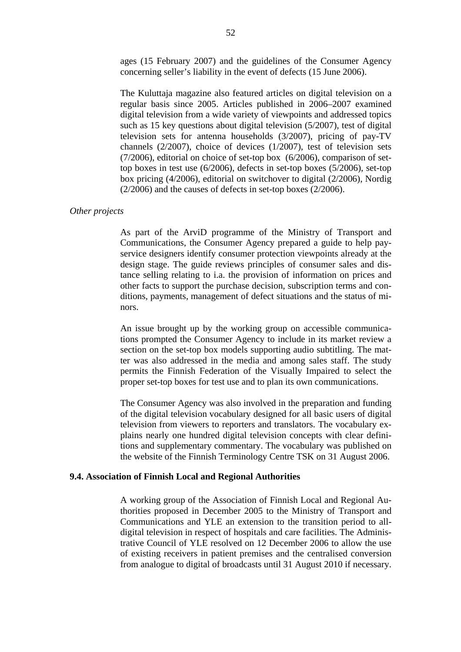ages (15 February 2007) and the guidelines of the Consumer Agency concerning seller's liability in the event of defects (15 June 2006).

The Kuluttaja magazine also featured articles on digital television on a regular basis since 2005. Articles published in 2006–2007 examined digital television from a wide variety of viewpoints and addressed topics such as 15 key questions about digital television (5/2007), test of digital television sets for antenna households (3/2007), pricing of pay-TV channels (2/2007), choice of devices (1/2007), test of television sets (7/2006), editorial on choice of set-top box (6/2006), comparison of settop boxes in test use (6/2006), defects in set-top boxes (5/2006), set-top box pricing (4/2006), editorial on switchover to digital (2/2006), Nordig (2/2006) and the causes of defects in set-top boxes (2/2006).

#### *Other projects*

As part of the ArviD programme of the Ministry of Transport and Communications, the Consumer Agency prepared a guide to help payservice designers identify consumer protection viewpoints already at the design stage. The guide reviews principles of consumer sales and distance selling relating to i.a. the provision of information on prices and other facts to support the purchase decision, subscription terms and conditions, payments, management of defect situations and the status of minors.

An issue brought up by the working group on accessible communications prompted the Consumer Agency to include in its market review a section on the set-top box models supporting audio subtitling. The matter was also addressed in the media and among sales staff. The study permits the Finnish Federation of the Visually Impaired to select the proper set-top boxes for test use and to plan its own communications.

The Consumer Agency was also involved in the preparation and funding of the digital television vocabulary designed for all basic users of digital television from viewers to reporters and translators. The vocabulary explains nearly one hundred digital television concepts with clear definitions and supplementary commentary. The vocabulary was published on the website of the Finnish Terminology Centre TSK on 31 August 2006.

## **9.4. Association of Finnish Local and Regional Authorities**

A working group of the Association of Finnish Local and Regional Authorities proposed in December 2005 to the Ministry of Transport and Communications and YLE an extension to the transition period to alldigital television in respect of hospitals and care facilities. The Administrative Council of YLE resolved on 12 December 2006 to allow the use of existing receivers in patient premises and the centralised conversion from analogue to digital of broadcasts until 31 August 2010 if necessary.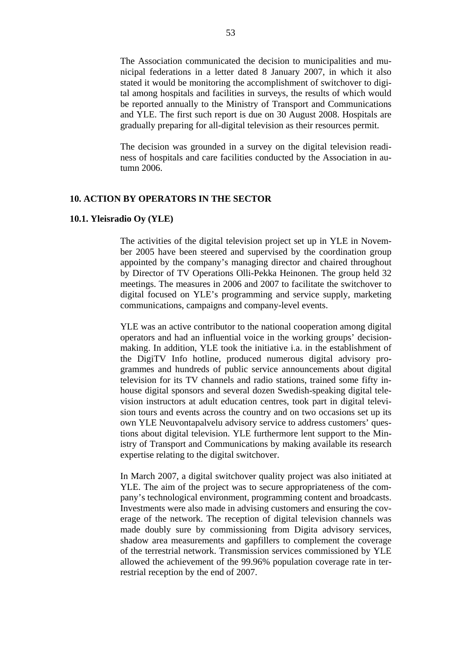The Association communicated the decision to municipalities and municipal federations in a letter dated 8 January 2007, in which it also stated it would be monitoring the accomplishment of switchover to digital among hospitals and facilities in surveys, the results of which would be reported annually to the Ministry of Transport and Communications and YLE. The first such report is due on 30 August 2008. Hospitals are gradually preparing for all-digital television as their resources permit.

The decision was grounded in a survey on the digital television readiness of hospitals and care facilities conducted by the Association in autumn 2006.

# **10. ACTION BY OPERATORS IN THE SECTOR**

### **10.1. Yleisradio Oy (YLE)**

The activities of the digital television project set up in YLE in November 2005 have been steered and supervised by the coordination group appointed by the company's managing director and chaired throughout by Director of TV Operations Olli-Pekka Heinonen. The group held 32 meetings. The measures in 2006 and 2007 to facilitate the switchover to digital focused on YLE's programming and service supply, marketing communications, campaigns and company-level events.

YLE was an active contributor to the national cooperation among digital operators and had an influential voice in the working groups' decisionmaking. In addition, YLE took the initiative i.a. in the establishment of the DigiTV Info hotline, produced numerous digital advisory programmes and hundreds of public service announcements about digital television for its TV channels and radio stations, trained some fifty inhouse digital sponsors and several dozen Swedish-speaking digital television instructors at adult education centres, took part in digital television tours and events across the country and on two occasions set up its own YLE Neuvontapalvelu advisory service to address customers' questions about digital television. YLE furthermore lent support to the Ministry of Transport and Communications by making available its research expertise relating to the digital switchover.

In March 2007, a digital switchover quality project was also initiated at YLE. The aim of the project was to secure appropriateness of the company's technological environment, programming content and broadcasts. Investments were also made in advising customers and ensuring the coverage of the network. The reception of digital television channels was made doubly sure by commissioning from Digita advisory services, shadow area measurements and gapfillers to complement the coverage of the terrestrial network. Transmission services commissioned by YLE allowed the achievement of the 99.96% population coverage rate in terrestrial reception by the end of 2007.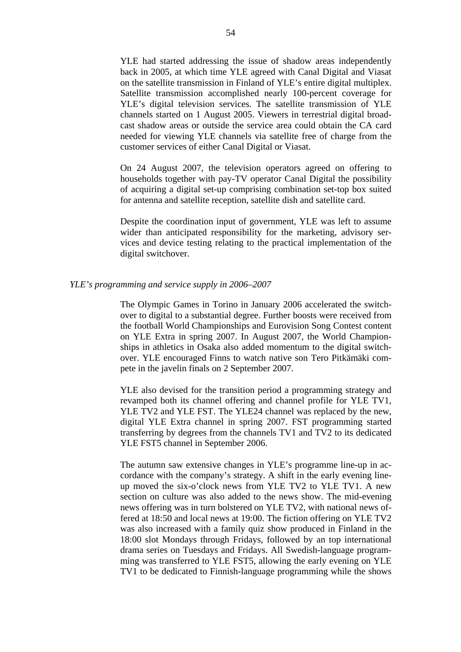YLE had started addressing the issue of shadow areas independently back in 2005, at which time YLE agreed with Canal Digital and Viasat on the satellite transmission in Finland of YLE's entire digital multiplex. Satellite transmission accomplished nearly 100-percent coverage for YLE's digital television services. The satellite transmission of YLE channels started on 1 August 2005. Viewers in terrestrial digital broadcast shadow areas or outside the service area could obtain the CA card needed for viewing YLE channels via satellite free of charge from the customer services of either Canal Digital or Viasat.

On 24 August 2007, the television operators agreed on offering to households together with pay-TV operator Canal Digital the possibility of acquiring a digital set-up comprising combination set-top box suited for antenna and satellite reception, satellite dish and satellite card.

Despite the coordination input of government, YLE was left to assume wider than anticipated responsibility for the marketing, advisory services and device testing relating to the practical implementation of the digital switchover.

### *YLE's programming and service supply in 2006–2007*

The Olympic Games in Torino in January 2006 accelerated the switchover to digital to a substantial degree. Further boosts were received from the football World Championships and Eurovision Song Contest content on YLE Extra in spring 2007. In August 2007, the World Championships in athletics in Osaka also added momentum to the digital switchover. YLE encouraged Finns to watch native son Tero Pitkämäki compete in the javelin finals on 2 September 2007.

YLE also devised for the transition period a programming strategy and revamped both its channel offering and channel profile for YLE TV1, YLE TV2 and YLE FST. The YLE24 channel was replaced by the new, digital YLE Extra channel in spring 2007. FST programming started transferring by degrees from the channels TV1 and TV2 to its dedicated YLE FST5 channel in September 2006.

The autumn saw extensive changes in YLE's programme line-up in accordance with the company's strategy. A shift in the early evening lineup moved the six-o'clock news from YLE TV2 to YLE TV1. A new section on culture was also added to the news show. The mid-evening news offering was in turn bolstered on YLE TV2, with national news offered at 18:50 and local news at 19:00. The fiction offering on YLE TV2 was also increased with a family quiz show produced in Finland in the 18:00 slot Mondays through Fridays, followed by an top international drama series on Tuesdays and Fridays. All Swedish-language programming was transferred to YLE FST5, allowing the early evening on YLE TV1 to be dedicated to Finnish-language programming while the shows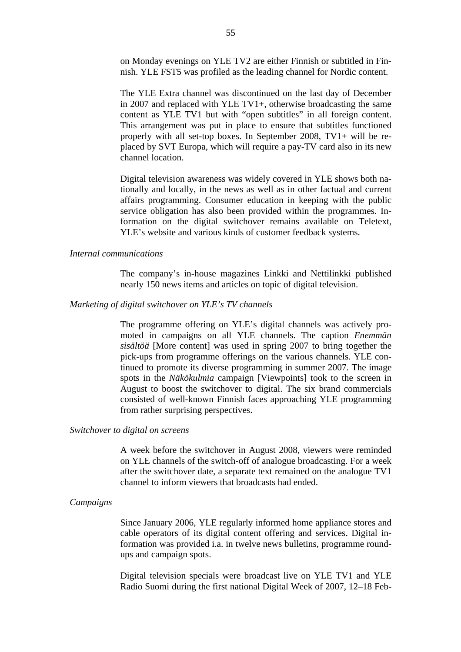on Monday evenings on YLE TV2 are either Finnish or subtitled in Finnish. YLE FST5 was profiled as the leading channel for Nordic content.

The YLE Extra channel was discontinued on the last day of December in 2007 and replaced with YLE TV1+, otherwise broadcasting the same content as YLE TV1 but with "open subtitles" in all foreign content. This arrangement was put in place to ensure that subtitles functioned properly with all set-top boxes. In September 2008, TV1+ will be replaced by SVT Europa, which will require a pay-TV card also in its new channel location.

Digital television awareness was widely covered in YLE shows both nationally and locally, in the news as well as in other factual and current affairs programming. Consumer education in keeping with the public service obligation has also been provided within the programmes. Information on the digital switchover remains available on Teletext, YLE's website and various kinds of customer feedback systems.

## *Internal communications*

The company's in-house magazines Linkki and Nettilinkki published nearly 150 news items and articles on topic of digital television.

### *Marketing of digital switchover on YLE's TV channels*

The programme offering on YLE's digital channels was actively promoted in campaigns on all YLE channels. The caption *Enemmän sisältöä* [More content] was used in spring 2007 to bring together the pick-ups from programme offerings on the various channels. YLE continued to promote its diverse programming in summer 2007. The image spots in the *Näkökulmia* campaign [Viewpoints] took to the screen in August to boost the switchover to digital. The six brand commercials consisted of well-known Finnish faces approaching YLE programming from rather surprising perspectives.

## *Switchover to digital on screens*

A week before the switchover in August 2008, viewers were reminded on YLE channels of the switch-off of analogue broadcasting. For a week after the switchover date, a separate text remained on the analogue TV1 channel to inform viewers that broadcasts had ended.

#### *Campaigns*

Since January 2006, YLE regularly informed home appliance stores and cable operators of its digital content offering and services. Digital information was provided i.a. in twelve news bulletins, programme roundups and campaign spots.

Digital television specials were broadcast live on YLE TV1 and YLE Radio Suomi during the first national Digital Week of 2007, 12–18 Feb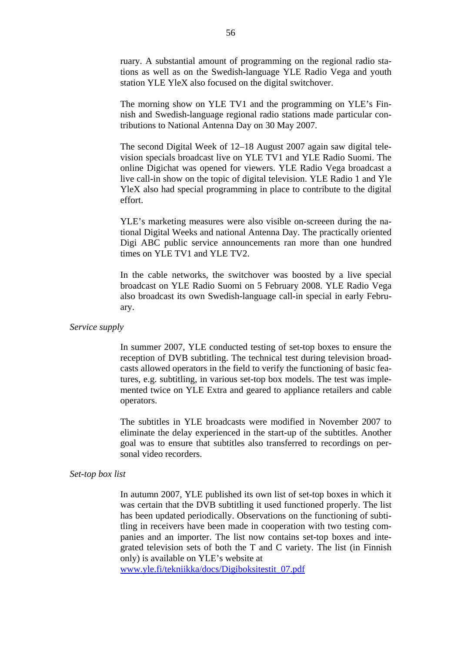ruary. A substantial amount of programming on the regional radio stations as well as on the Swedish-language YLE Radio Vega and youth station YLE YleX also focused on the digital switchover.

The morning show on YLE TV1 and the programming on YLE's Finnish and Swedish-language regional radio stations made particular contributions to National Antenna Day on 30 May 2007.

The second Digital Week of 12–18 August 2007 again saw digital television specials broadcast live on YLE TV1 and YLE Radio Suomi. The online Digichat was opened for viewers. YLE Radio Vega broadcast a live call-in show on the topic of digital television. YLE Radio 1 and Yle YleX also had special programming in place to contribute to the digital effort.

YLE's marketing measures were also visible on-screeen during the national Digital Weeks and national Antenna Day. The practically oriented Digi ABC public service announcements ran more than one hundred times on YLE TV1 and YLE TV2.

In the cable networks, the switchover was boosted by a live special broadcast on YLE Radio Suomi on 5 February 2008. YLE Radio Vega also broadcast its own Swedish-language call-in special in early February.

*Service supply* 

In summer 2007, YLE conducted testing of set-top boxes to ensure the reception of DVB subtitling. The technical test during television broadcasts allowed operators in the field to verify the functioning of basic features, e.g. subtitling, in various set-top box models. The test was implemented twice on YLE Extra and geared to appliance retailers and cable operators.

The subtitles in YLE broadcasts were modified in November 2007 to eliminate the delay experienced in the start-up of the subtitles. Another goal was to ensure that subtitles also transferred to recordings on personal video recorders.

## *Set-top box list*

In autumn 2007, YLE published its own list of set-top boxes in which it was certain that the DVB subtitling it used functioned properly. The list has been updated periodically. Observations on the functioning of subtitling in receivers have been made in cooperation with two testing companies and an importer. The list now contains set-top boxes and integrated television sets of both the T and C variety. The list (in Finnish only) is available on YLE's website at

[www.yle.fi/tekniikka/docs/Digiboksitestit\\_07.pdf](http://www.yle.fi/tekniikka/docs/Digiboksitestit_07.pdf)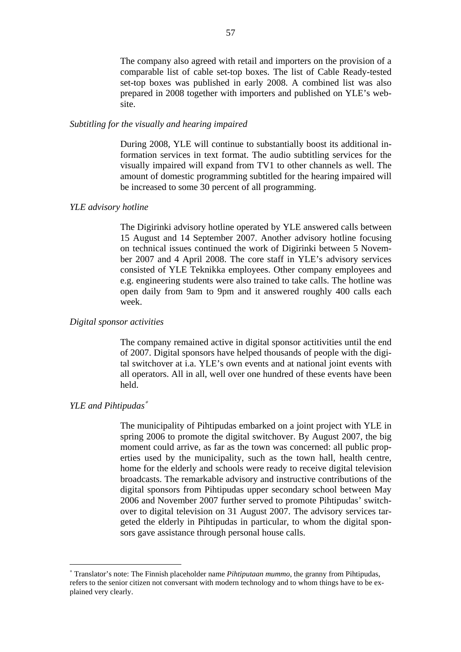The company also agreed with retail and importers on the provision of a comparable list of cable set-top boxes. The list of Cable Ready-tested set-top boxes was published in early 2008. A combined list was also prepared in 2008 together with importers and published on YLE's website.

# *Subtitling for the visually and hearing impaired*

During 2008, YLE will continue to substantially boost its additional information services in text format. The audio subtitling services for the visually impaired will expand from TV1 to other channels as well. The amount of domestic programming subtitled for the hearing impaired will be increased to some 30 percent of all programming.

## *YLE advisory hotline*

The Digirinki advisory hotline operated by YLE answered calls between 15 August and 14 September 2007. Another advisory hotline focusing on technical issues continued the work of Digirinki between 5 November 2007 and 4 April 2008. The core staff in YLE's advisory services consisted of YLE Teknikka employees. Other company employees and e.g. engineering students were also trained to take calls. The hotline was open daily from 9am to 9pm and it answered roughly 400 calls each week.

#### *Digital sponsor activities*

The company remained active in digital sponsor actitivities until the end of 2007. Digital sponsors have helped thousands of people with the digital switchover at i.a. YLE's own events and at national joint events with all operators. All in all, well over one hundred of these events have been held.

# *YLE and Pihtipudas*[∗](#page-57-0)

 $\overline{a}$ 

The municipality of Pihtipudas embarked on a joint project with YLE in spring 2006 to promote the digital switchover. By August 2007, the big moment could arrive, as far as the town was concerned: all public properties used by the municipality, such as the town hall, health centre, home for the elderly and schools were ready to receive digital television broadcasts. The remarkable advisory and instructive contributions of the digital sponsors from Pihtipudas upper secondary school between May 2006 and November 2007 further served to promote Pihtipudas' switchover to digital television on 31 August 2007. The advisory services targeted the elderly in Pihtipudas in particular, to whom the digital sponsors gave assistance through personal house calls.

<span id="page-57-0"></span><sup>∗</sup> Translator's note: The Finnish placeholder name *Pihtiputaan mummo*, the granny from Pihtipudas, refers to the senior citizen not conversant with modern technology and to whom things have to be explained very clearly.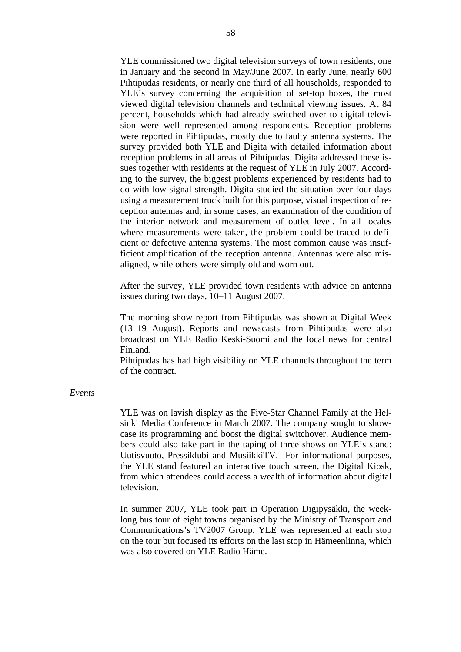YLE commissioned two digital television surveys of town residents, one in January and the second in May/June 2007. In early June, nearly 600 Pihtipudas residents, or nearly one third of all households, responded to YLE's survey concerning the acquisition of set-top boxes, the most viewed digital television channels and technical viewing issues. At 84 percent, households which had already switched over to digital television were well represented among respondents. Reception problems were reported in Pihtipudas, mostly due to faulty antenna systems. The survey provided both YLE and Digita with detailed information about reception problems in all areas of Pihtipudas. Digita addressed these issues together with residents at the request of YLE in July 2007. According to the survey, the biggest problems experienced by residents had to do with low signal strength. Digita studied the situation over four days using a measurement truck built for this purpose, visual inspection of reception antennas and, in some cases, an examination of the condition of the interior network and measurement of outlet level. In all locales where measurements were taken, the problem could be traced to deficient or defective antenna systems. The most common cause was insufficient amplification of the reception antenna. Antennas were also misaligned, while others were simply old and worn out.

After the survey, YLE provided town residents with advice on antenna issues during two days, 10–11 August 2007.

The morning show report from Pihtipudas was shown at Digital Week (13–19 August). Reports and newscasts from Pihtipudas were also broadcast on YLE Radio Keski-Suomi and the local news for central Finland.

Pihtipudas has had high visibility on YLE channels throughout the term of the contract.

#### *Events*

YLE was on lavish display as the Five-Star Channel Family at the Helsinki Media Conference in March 2007. The company sought to showcase its programming and boost the digital switchover. Audience members could also take part in the taping of three shows on YLE's stand: Uutisvuoto, Pressiklubi and MusiikkiTV. For informational purposes, the YLE stand featured an interactive touch screen, the Digital Kiosk, from which attendees could access a wealth of information about digital television.

In summer 2007, YLE took part in Operation Digipysäkki, the weeklong bus tour of eight towns organised by the Ministry of Transport and Communications's TV2007 Group. YLE was represented at each stop on the tour but focused its efforts on the last stop in Hämeenlinna, which was also covered on YLE Radio Häme.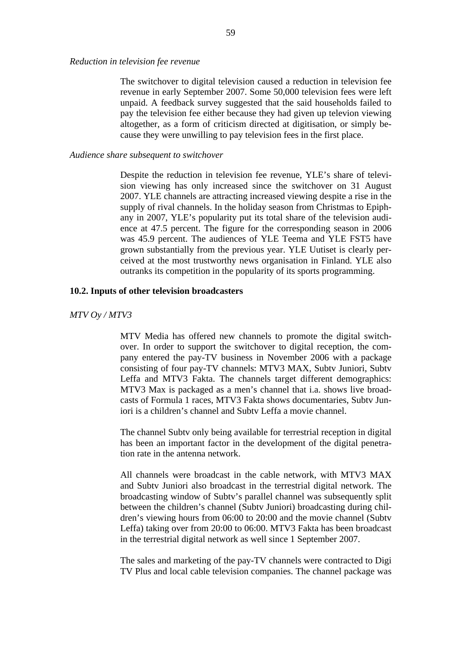*Reduction in television fee revenue* 

The switchover to digital television caused a reduction in television fee revenue in early September 2007. Some 50,000 television fees were left unpaid. A feedback survey suggested that the said households failed to pay the television fee either because they had given up televion viewing altogether, as a form of criticism directed at digitisation, or simply because they were unwilling to pay television fees in the first place.

#### *Audience share subsequent to switchover*

Despite the reduction in television fee revenue, YLE's share of television viewing has only increased since the switchover on 31 August 2007. YLE channels are attracting increased viewing despite a rise in the supply of rival channels. In the holiday season from Christmas to Epiphany in 2007, YLE's popularity put its total share of the television audience at 47.5 percent. The figure for the corresponding season in 2006 was 45.9 percent. The audiences of YLE Teema and YLE FST5 have grown substantially from the previous year. YLE Uutiset is clearly perceived at the most trustworthy news organisation in Finland. YLE also outranks its competition in the popularity of its sports programming.

### **10.2. Inputs of other television broadcasters**

#### *MTV Oy / MTV3*

MTV Media has offered new channels to promote the digital switchover. In order to support the switchover to digital reception, the company entered the pay-TV business in November 2006 with a package consisting of four pay-TV channels: MTV3 MAX, Subtv Juniori, Subtv Leffa and MTV3 Fakta. The channels target different demographics: MTV3 Max is packaged as a men's channel that i.a. shows live broadcasts of Formula 1 races, MTV3 Fakta shows documentaries, Subtv Juniori is a children's channel and Subtv Leffa a movie channel.

The channel Subtv only being available for terrestrial reception in digital has been an important factor in the development of the digital penetration rate in the antenna network.

All channels were broadcast in the cable network, with MTV3 MAX and Subtv Juniori also broadcast in the terrestrial digital network. The broadcasting window of Subtv's parallel channel was subsequently split between the children's channel (Subtv Juniori) broadcasting during children's viewing hours from 06:00 to 20:00 and the movie channel (Subtv Leffa) taking over from 20:00 to 06:00. MTV3 Fakta has been broadcast in the terrestrial digital network as well since 1 September 2007.

The sales and marketing of the pay-TV channels were contracted to Digi TV Plus and local cable television companies. The channel package was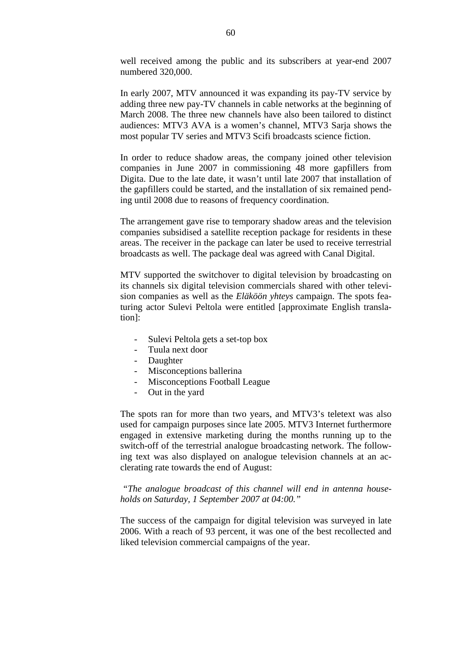well received among the public and its subscribers at year-end 2007 numbered 320,000.

In early 2007, MTV announced it was expanding its pay-TV service by adding three new pay-TV channels in cable networks at the beginning of March 2008. The three new channels have also been tailored to distinct audiences: MTV3 AVA is a women's channel, MTV3 Sarja shows the most popular TV series and MTV3 Scifi broadcasts science fiction.

In order to reduce shadow areas, the company joined other television companies in June 2007 in commissioning 48 more gapfillers from Digita. Due to the late date, it wasn't until late 2007 that installation of the gapfillers could be started, and the installation of six remained pending until 2008 due to reasons of frequency coordination.

The arrangement gave rise to temporary shadow areas and the television companies subsidised a satellite reception package for residents in these areas. The receiver in the package can later be used to receive terrestrial broadcasts as well. The package deal was agreed with Canal Digital.

MTV supported the switchover to digital television by broadcasting on its channels six digital television commercials shared with other television companies as well as the *Eläköön yhteys* campaign. The spots featuring actor Sulevi Peltola were entitled [approximate English translation]:

- Sulevi Peltola gets a set-top box
- Tuula next door
- **Daughter**
- Misconceptions ballerina
- Misconceptions Football League
- Out in the yard

The spots ran for more than two years, and MTV3's teletext was also used for campaign purposes since late 2005. MTV3 Internet furthermore engaged in extensive marketing during the months running up to the switch-off of the terrestrial analogue broadcasting network. The following text was also displayed on analogue television channels at an acclerating rate towards the end of August:

 *"The analogue broadcast of this channel will end in antenna households on Saturday, 1 September 2007 at 04:00."* 

The success of the campaign for digital television was surveyed in late 2006. With a reach of 93 percent, it was one of the best recollected and liked television commercial campaigns of the year.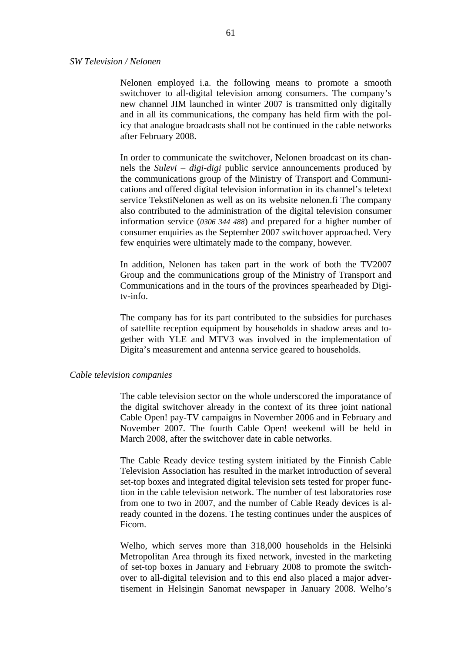### *SW Television / Nelonen*

Nelonen employed i.a. the following means to promote a smooth switchover to all-digital television among consumers. The company's new channel JIM launched in winter 2007 is transmitted only digitally and in all its communications, the company has held firm with the policy that analogue broadcasts shall not be continued in the cable networks after February 2008.

In order to communicate the switchover, Nelonen broadcast on its channels the *Sulevi – digi-digi* public service announcements produced by the communications group of the Ministry of Transport and Communications and offered digital television information in its channel's teletext service TekstiNelonen as well as on its website nelonen.fi The company also contributed to the administration of the digital television consumer information service (*0306 344 488*) and prepared for a higher number of consumer enquiries as the September 2007 switchover approached. Very few enquiries were ultimately made to the company, however.

In addition, Nelonen has taken part in the work of both the TV2007 Group and the communications group of the Ministry of Transport and Communications and in the tours of the provinces spearheaded by Digitv-info.

The company has for its part contributed to the subsidies for purchases of satellite reception equipment by households in shadow areas and together with YLE and MTV3 was involved in the implementation of Digita's measurement and antenna service geared to households.

#### *Cable television companies*

The cable television sector on the whole underscored the imporatance of the digital switchover already in the context of its three joint national Cable Open! pay-TV campaigns in November 2006 and in February and November 2007. The fourth Cable Open! weekend will be held in March 2008, after the switchover date in cable networks.

The Cable Ready device testing system initiated by the Finnish Cable Television Association has resulted in the market introduction of several set-top boxes and integrated digital television sets tested for proper function in the cable television network. The number of test laboratories rose from one to two in 2007, and the number of Cable Ready devices is already counted in the dozens. The testing continues under the auspices of Ficom.

Welho, which serves more than 318,000 households in the Helsinki Metropolitan Area through its fixed network, invested in the marketing of set-top boxes in January and February 2008 to promote the switchover to all-digital television and to this end also placed a major advertisement in Helsingin Sanomat newspaper in January 2008. Welho's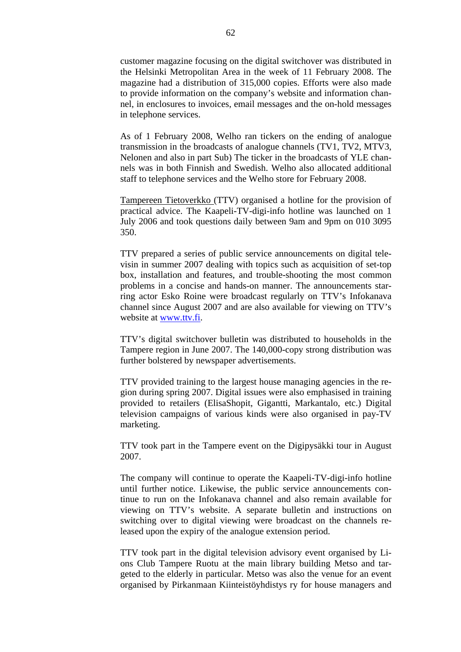customer magazine focusing on the digital switchover was distributed in the Helsinki Metropolitan Area in the week of 11 February 2008. The magazine had a distribution of 315,000 copies. Efforts were also made to provide information on the company's website and information channel, in enclosures to invoices, email messages and the on-hold messages in telephone services.

As of 1 February 2008, Welho ran tickers on the ending of analogue transmission in the broadcasts of analogue channels (TV1, TV2, MTV3, Nelonen and also in part Sub) The ticker in the broadcasts of YLE channels was in both Finnish and Swedish. Welho also allocated additional staff to telephone services and the Welho store for February 2008.

Tampereen Tietoverkko (TTV) organised a hotline for the provision of practical advice. The Kaapeli-TV-digi-info hotline was launched on 1 July 2006 and took questions daily between 9am and 9pm on 010 3095 350.

TTV prepared a series of public service announcements on digital televisin in summer 2007 dealing with topics such as acquisition of set-top box, installation and features, and trouble-shooting the most common problems in a concise and hands-on manner. The announcements starring actor Esko Roine were broadcast regularly on TTV's Infokanava channel since August 2007 and are also available for viewing on TTV's website at [www.ttv.fi.](http://www.ttv.fi/)

TTV's digital switchover bulletin was distributed to households in the Tampere region in June 2007. The 140,000-copy strong distribution was further bolstered by newspaper advertisements.

TTV provided training to the largest house managing agencies in the region during spring 2007. Digital issues were also emphasised in training provided to retailers (ElisaShopit, Gigantti, Markantalo, etc.) Digital television campaigns of various kinds were also organised in pay-TV marketing.

TTV took part in the Tampere event on the Digipysäkki tour in August 2007.

The company will continue to operate the Kaapeli-TV-digi-info hotline until further notice. Likewise, the public service announcements continue to run on the Infokanava channel and also remain available for viewing on TTV's website. A separate bulletin and instructions on switching over to digital viewing were broadcast on the channels released upon the expiry of the analogue extension period.

TTV took part in the digital television advisory event organised by Lions Club Tampere Ruotu at the main library building Metso and targeted to the elderly in particular. Metso was also the venue for an event organised by Pirkanmaan Kiinteistöyhdistys ry for house managers and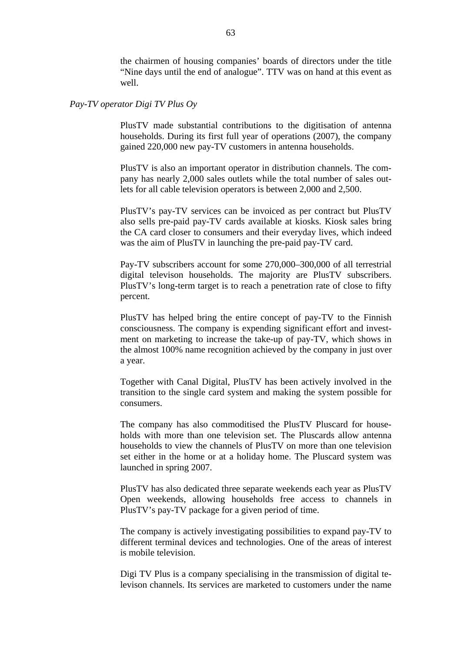the chairmen of housing companies' boards of directors under the title "Nine days until the end of analogue". TTV was on hand at this event as well.

#### *Pay-TV operator Digi TV Plus Oy*

PlusTV made substantial contributions to the digitisation of antenna households. During its first full year of operations (2007), the company gained 220,000 new pay-TV customers in antenna households.

PlusTV is also an important operator in distribution channels. The company has nearly 2,000 sales outlets while the total number of sales outlets for all cable television operators is between 2,000 and 2,500.

PlusTV's pay-TV services can be invoiced as per contract but PlusTV also sells pre-paid pay-TV cards available at kiosks. Kiosk sales bring the CA card closer to consumers and their everyday lives, which indeed was the aim of PlusTV in launching the pre-paid pay-TV card.

Pay-TV subscribers account for some 270,000–300,000 of all terrestrial digital televison households. The majority are PlusTV subscribers. PlusTV's long-term target is to reach a penetration rate of close to fifty percent.

PlusTV has helped bring the entire concept of pay-TV to the Finnish consciousness. The company is expending significant effort and investment on marketing to increase the take-up of pay-TV, which shows in the almost 100% name recognition achieved by the company in just over a year.

Together with Canal Digital, PlusTV has been actively involved in the transition to the single card system and making the system possible for consumers.

The company has also commoditised the PlusTV Pluscard for households with more than one television set. The Pluscards allow antenna households to view the channels of PlusTV on more than one television set either in the home or at a holiday home. The Pluscard system was launched in spring 2007.

PlusTV has also dedicated three separate weekends each year as PlusTV Open weekends, allowing households free access to channels in PlusTV's pay-TV package for a given period of time.

The company is actively investigating possibilities to expand pay-TV to different terminal devices and technologies. One of the areas of interest is mobile television.

Digi TV Plus is a company specialising in the transmission of digital televison channels. Its services are marketed to customers under the name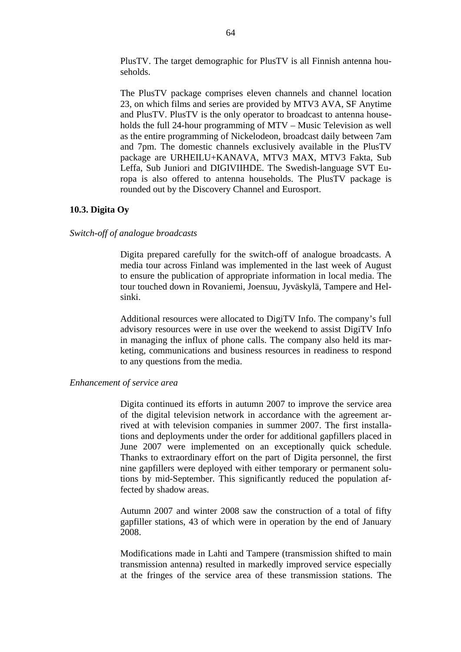PlusTV. The target demographic for PlusTV is all Finnish antenna households.

The PlusTV package comprises eleven channels and channel location 23, on which films and series are provided by MTV3 AVA, SF Anytime and PlusTV. PlusTV is the only operator to broadcast to antenna households the full 24-hour programming of MTV – Music Television as well as the entire programming of Nickelodeon, broadcast daily between 7am and 7pm. The domestic channels exclusively available in the PlusTV package are URHEILU+KANAVA, MTV3 MAX, MTV3 Fakta, Sub Leffa, Sub Juniori and DIGIVIIHDE. The Swedish-language SVT Europa is also offered to antenna households. The PlusTV package is rounded out by the Discovery Channel and Eurosport.

## **10.3. Digita Oy**

## *Switch-off of analogue broadcasts*

Digita prepared carefully for the switch-off of analogue broadcasts. A media tour across Finland was implemented in the last week of August to ensure the publication of appropriate information in local media. The tour touched down in Rovaniemi, Joensuu, Jyväskylä, Tampere and Helsinki.

Additional resources were allocated to DigiTV Info. The company's full advisory resources were in use over the weekend to assist DigiTV Info in managing the influx of phone calls. The company also held its marketing, communications and business resources in readiness to respond to any questions from the media.

## *Enhancement of service area*

Digita continued its efforts in autumn 2007 to improve the service area of the digital television network in accordance with the agreement arrived at with television companies in summer 2007. The first installations and deployments under the order for additional gapfillers placed in June 2007 were implemented on an exceptionally quick schedule. Thanks to extraordinary effort on the part of Digita personnel, the first nine gapfillers were deployed with either temporary or permanent solutions by mid-September. This significantly reduced the population affected by shadow areas.

Autumn 2007 and winter 2008 saw the construction of a total of fifty gapfiller stations, 43 of which were in operation by the end of January 2008.

Modifications made in Lahti and Tampere (transmission shifted to main transmission antenna) resulted in markedly improved service especially at the fringes of the service area of these transmission stations. The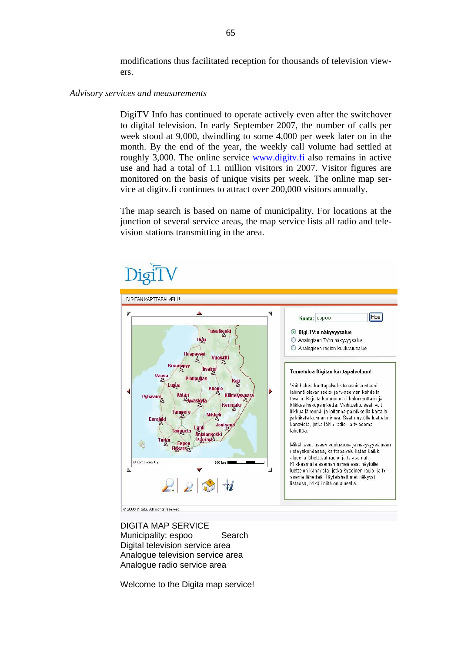modifications thus facilitated reception for thousands of television viewers.

#### *Advisory services and measurements*

DigiTV Info has continued to operate actively even after the switchover to digital television. In early September 2007, the number of calls per week stood at 9,000, dwindling to some 4,000 per week later on in the month. By the end of the year, the weekly call volume had settled at roughly 3,000. The online service [www.digitv.fi](http://www.digitv.fi/) also remains in active use and had a total of 1.1 million visitors in 2007. Visitor figures are monitored on the basis of unique visits per week. The online map service at digitv.fi continues to attract over 200,000 visitors annually.

The map search is based on name of municipality. For locations at the junction of several service areas, the map service lists all radio and television stations transmitting in the area.



DIGITA MAP SERVICE Municipality: espoo Search Digital television service area Analogue television service area Analogue radio service area

Welcome to the Digita map service!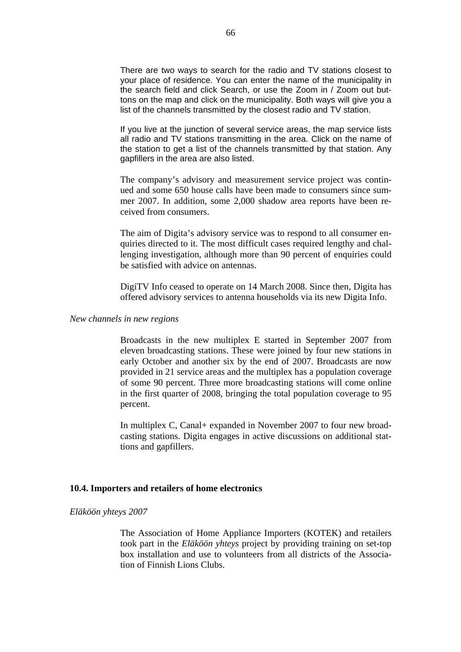There are two ways to search for the radio and TV stations closest to your place of residence. You can enter the name of the municipality in the search field and click Search, or use the Zoom in / Zoom out buttons on the map and click on the municipality. Both ways will give you a list of the channels transmitted by the closest radio and TV station.

If you live at the junction of several service areas, the map service lists all radio and TV stations transmitting in the area. Click on the name of the station to get a list of the channels transmitted by that station. Any gapfillers in the area are also listed.

The company's advisory and measurement service project was continued and some 650 house calls have been made to consumers since summer 2007. In addition, some 2,000 shadow area reports have been received from consumers.

The aim of Digita's advisory service was to respond to all consumer enquiries directed to it. The most difficult cases required lengthy and challenging investigation, although more than 90 percent of enquiries could be satisfied with advice on antennas.

DigiTV Info ceased to operate on 14 March 2008. Since then, Digita has offered advisory services to antenna households via its new Digita Info.

## *New channels in new regions*

Broadcasts in the new multiplex E started in September 2007 from eleven broadcasting stations. These were joined by four new stations in early October and another six by the end of 2007. Broadcasts are now provided in 21 service areas and the multiplex has a population coverage of some 90 percent. Three more broadcasting stations will come online in the first quarter of 2008, bringing the total population coverage to 95 percent.

In multiplex C, Canal+ expanded in November 2007 to four new broadcasting stations. Digita engages in active discussions on additional stattions and gapfillers.

## **10.4. Importers and retailers of home electronics**

#### *Eläköön yhteys 2007*

The Association of Home Appliance Importers (KOTEK) and retailers took part in the *Eläköön yhteys* project by providing training on set-top box installation and use to volunteers from all districts of the Association of Finnish Lions Clubs.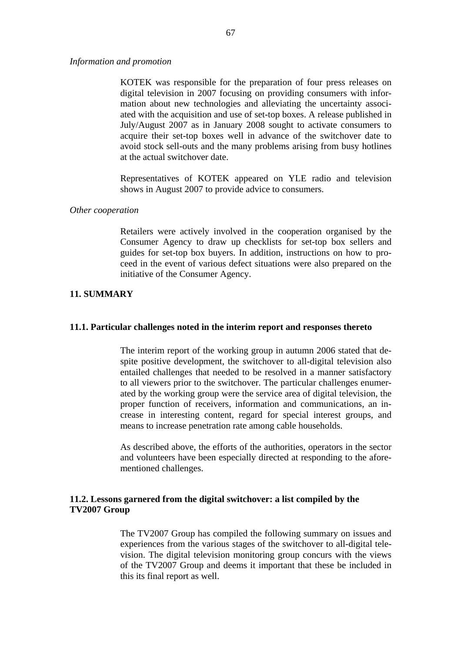*Information and promotion* 

KOTEK was responsible for the preparation of four press releases on digital television in 2007 focusing on providing consumers with information about new technologies and alleviating the uncertainty associated with the acquisition and use of set-top boxes. A release published in July/August 2007 as in January 2008 sought to activate consumers to acquire their set-top boxes well in advance of the switchover date to avoid stock sell-outs and the many problems arising from busy hotlines at the actual switchover date.

Representatives of KOTEK appeared on YLE radio and television shows in August 2007 to provide advice to consumers.

### *Other cooperation*

Retailers were actively involved in the cooperation organised by the Consumer Agency to draw up checklists for set-top box sellers and guides for set-top box buyers. In addition, instructions on how to proceed in the event of various defect situations were also prepared on the initiative of the Consumer Agency.

# **11. SUMMARY**

## **11.1. Particular challenges noted in the interim report and responses thereto**

The interim report of the working group in autumn 2006 stated that despite positive development, the switchover to all-digital television also entailed challenges that needed to be resolved in a manner satisfactory to all viewers prior to the switchover. The particular challenges enumerated by the working group were the service area of digital television, the proper function of receivers, information and communications, an increase in interesting content, regard for special interest groups, and means to increase penetration rate among cable households.

As described above, the efforts of the authorities, operators in the sector and volunteers have been especially directed at responding to the aforementioned challenges.

# **11.2. Lessons garnered from the digital switchover: a list compiled by the TV2007 Group**

The TV2007 Group has compiled the following summary on issues and experiences from the various stages of the switchover to all-digital television. The digital television monitoring group concurs with the views of the TV2007 Group and deems it important that these be included in this its final report as well.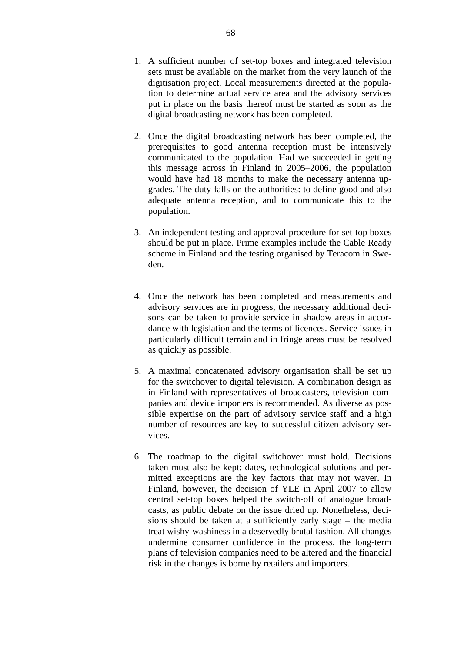- 1. A sufficient number of set-top boxes and integrated television sets must be available on the market from the very launch of the digitisation project. Local measurements directed at the population to determine actual service area and the advisory services put in place on the basis thereof must be started as soon as the digital broadcasting network has been completed.
- 2. Once the digital broadcasting network has been completed, the prerequisites to good antenna reception must be intensively communicated to the population. Had we succeeded in getting this message across in Finland in 2005–2006, the population would have had 18 months to make the necessary antenna upgrades. The duty falls on the authorities: to define good and also adequate antenna reception, and to communicate this to the population.
- 3. An independent testing and approval procedure for set-top boxes should be put in place. Prime examples include the Cable Ready scheme in Finland and the testing organised by Teracom in Sweden.
- 4. Once the network has been completed and measurements and advisory services are in progress, the necessary additional decisons can be taken to provide service in shadow areas in accordance with legislation and the terms of licences. Service issues in particularly difficult terrain and in fringe areas must be resolved as quickly as possible.
- 5. A maximal concatenated advisory organisation shall be set up for the switchover to digital television. A combination design as in Finland with representatives of broadcasters, television companies and device importers is recommended. As diverse as possible expertise on the part of advisory service staff and a high number of resources are key to successful citizen advisory services.
- 6. The roadmap to the digital switchover must hold. Decisions taken must also be kept: dates, technological solutions and permitted exceptions are the key factors that may not waver. In Finland, however, the decision of YLE in April 2007 to allow central set-top boxes helped the switch-off of analogue broadcasts, as public debate on the issue dried up. Nonetheless, decisions should be taken at a sufficiently early stage – the media treat wishy-washiness in a deservedly brutal fashion. All changes undermine consumer confidence in the process, the long-term plans of television companies need to be altered and the financial risk in the changes is borne by retailers and importers.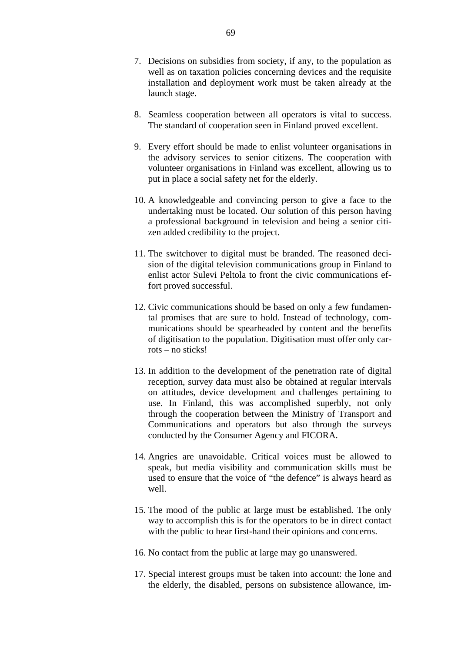- 7. Decisions on subsidies from society, if any, to the population as well as on taxation policies concerning devices and the requisite installation and deployment work must be taken already at the launch stage.
- 8. Seamless cooperation between all operators is vital to success. The standard of cooperation seen in Finland proved excellent.
- 9. Every effort should be made to enlist volunteer organisations in the advisory services to senior citizens. The cooperation with volunteer organisations in Finland was excellent, allowing us to put in place a social safety net for the elderly.
- 10. A knowledgeable and convincing person to give a face to the undertaking must be located. Our solution of this person having a professional background in television and being a senior citizen added credibility to the project.
- 11. The switchover to digital must be branded. The reasoned decision of the digital television communications group in Finland to enlist actor Sulevi Peltola to front the civic communications effort proved successful.
- 12. Civic communications should be based on only a few fundamental promises that are sure to hold. Instead of technology, communications should be spearheaded by content and the benefits of digitisation to the population. Digitisation must offer only carrots – no sticks!
- 13. In addition to the development of the penetration rate of digital reception, survey data must also be obtained at regular intervals on attitudes, device development and challenges pertaining to use. In Finland, this was accomplished superbly, not only through the cooperation between the Ministry of Transport and Communications and operators but also through the surveys conducted by the Consumer Agency and FICORA.
- 14. Angries are unavoidable. Critical voices must be allowed to speak, but media visibility and communication skills must be used to ensure that the voice of "the defence" is always heard as well.
- 15. The mood of the public at large must be established. The only way to accomplish this is for the operators to be in direct contact with the public to hear first-hand their opinions and concerns.
- 16. No contact from the public at large may go unanswered.
- 17. Special interest groups must be taken into account: the lone and the elderly, the disabled, persons on subsistence allowance, im-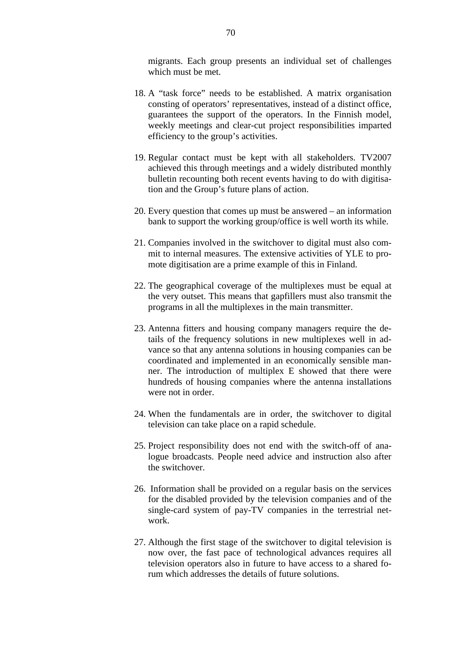migrants. Each group presents an individual set of challenges which must be met.

- 18. A "task force" needs to be established. A matrix organisation consting of operators' representatives, instead of a distinct office, guarantees the support of the operators. In the Finnish model, weekly meetings and clear-cut project responsibilities imparted efficiency to the group's activities.
- 19. Regular contact must be kept with all stakeholders. TV2007 achieved this through meetings and a widely distributed monthly bulletin recounting both recent events having to do with digitisation and the Group's future plans of action.
- 20. Every question that comes up must be answered an information bank to support the working group/office is well worth its while.
- 21. Companies involved in the switchover to digital must also commit to internal measures. The extensive activities of YLE to promote digitisation are a prime example of this in Finland.
- 22. The geographical coverage of the multiplexes must be equal at the very outset. This means that gapfillers must also transmit the programs in all the multiplexes in the main transmitter.
- 23. Antenna fitters and housing company managers require the details of the frequency solutions in new multiplexes well in advance so that any antenna solutions in housing companies can be coordinated and implemented in an economically sensible manner. The introduction of multiplex E showed that there were hundreds of housing companies where the antenna installations were not in order.
- 24. When the fundamentals are in order, the switchover to digital television can take place on a rapid schedule.
- 25. Project responsibility does not end with the switch-off of analogue broadcasts. People need advice and instruction also after the switchover.
- 26. Information shall be provided on a regular basis on the services for the disabled provided by the television companies and of the single-card system of pay-TV companies in the terrestrial network.
- 27. Although the first stage of the switchover to digital television is now over, the fast pace of technological advances requires all television operators also in future to have access to a shared forum which addresses the details of future solutions.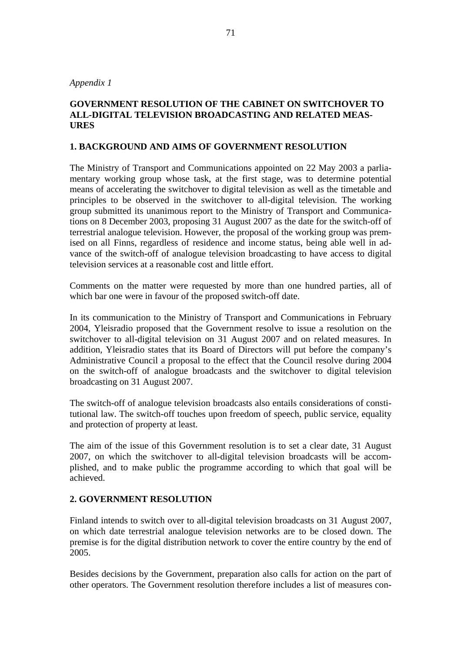*Appendix 1* 

# **GOVERNMENT RESOLUTION OF THE CABINET ON SWITCHOVER TO ALL-DIGITAL TELEVISION BROADCASTING AND RELATED MEAS-URES**

# **1. BACKGROUND AND AIMS OF GOVERNMENT RESOLUTION**

The Ministry of Transport and Communications appointed on 22 May 2003 a parliamentary working group whose task, at the first stage, was to determine potential means of accelerating the switchover to digital television as well as the timetable and principles to be observed in the switchover to all-digital television. The working group submitted its unanimous report to the Ministry of Transport and Communications on 8 December 2003, proposing 31 August 2007 as the date for the switch-off of terrestrial analogue television. However, the proposal of the working group was premised on all Finns, regardless of residence and income status, being able well in advance of the switch-off of analogue television broadcasting to have access to digital television services at a reasonable cost and little effort.

Comments on the matter were requested by more than one hundred parties, all of which bar one were in favour of the proposed switch-off date.

In its communication to the Ministry of Transport and Communications in February 2004, Yleisradio proposed that the Government resolve to issue a resolution on the switchover to all-digital television on 31 August 2007 and on related measures. In addition, Yleisradio states that its Board of Directors will put before the company's Administrative Council a proposal to the effect that the Council resolve during 2004 on the switch-off of analogue broadcasts and the switchover to digital television broadcasting on 31 August 2007.

The switch-off of analogue television broadcasts also entails considerations of constitutional law. The switch-off touches upon freedom of speech, public service, equality and protection of property at least.

The aim of the issue of this Government resolution is to set a clear date, 31 August 2007, on which the switchover to all-digital television broadcasts will be accomplished, and to make public the programme according to which that goal will be achieved.

# **2. GOVERNMENT RESOLUTION**

Finland intends to switch over to all-digital television broadcasts on 31 August 2007, on which date terrestrial analogue television networks are to be closed down. The premise is for the digital distribution network to cover the entire country by the end of 2005.

Besides decisions by the Government, preparation also calls for action on the part of other operators. The Government resolution therefore includes a list of measures con-